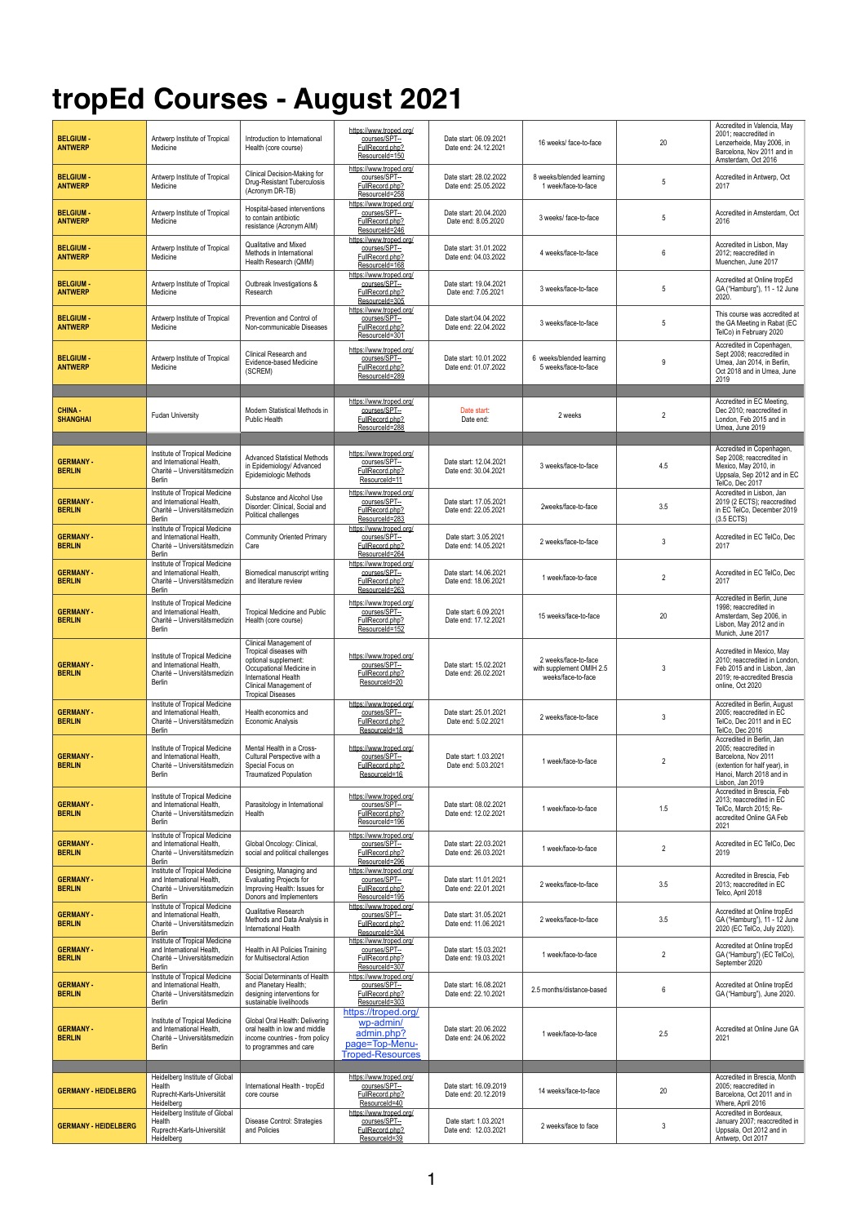## **tropEd Courses - August 2021**

| <b>BELGIUM-</b><br><b>ANTWERP</b> | Antwerp Institute of Tropical<br>Medicine                                                                     | Introduction to International<br>Health (core course)                                                                                                                              | https://www.troped.org/<br>courses/SPT--<br>FullRecord.php?<br>ResourceId=150               | Date start: 06.09.2021<br>Date end: 24.12.2021 | 16 weeks/ face-to-face                                                 | 20             | Accredited in Valencia. May<br>2001; reaccredited in<br>Lenzerheide, May 2006, in<br>Barcelona. Nov 2011 and in<br>Amsterdam, Oct 2016                     |
|-----------------------------------|---------------------------------------------------------------------------------------------------------------|------------------------------------------------------------------------------------------------------------------------------------------------------------------------------------|---------------------------------------------------------------------------------------------|------------------------------------------------|------------------------------------------------------------------------|----------------|------------------------------------------------------------------------------------------------------------------------------------------------------------|
| <b>BELGIUM-</b><br><b>ANTWERP</b> | Antwerp Institute of Tropical<br>Medicine                                                                     | Clinical Decision-Making for<br>Drug-Resistant Tuberculosis<br>(Acronym DR-TB)                                                                                                     | https://www.troped.org/<br>courses/SPT--<br>FullRecord.php?<br>ResourceId=258               | Date start: 28.02.2022<br>Date end: 25.05.2022 | 8 weeks/blended learning<br>1 week/face-to-face                        | 5              | Accredited in Antwerp, Oct<br>2017                                                                                                                         |
| <b>BELGIUM-</b><br><b>ANTWERP</b> | Antwerp Institute of Tropical<br>Medicine                                                                     | Hospital-based interventions<br>to contain antibiotic<br>resistance (Acronym AIM)                                                                                                  | https://www.troped.org/<br>courses/SPT-<br>FullRecord.php?<br>ResourceId=246                | Date start: 20.04.2020<br>Date end: 8.05.2020  | 3 weeks/face-to-face                                                   | 5              | Accredited in Amsterdam, Oct<br>2016                                                                                                                       |
| <b>BELGIUM-</b><br><b>ANTWERP</b> | Antwerp Institute of Tropical<br>Medicine                                                                     | Qualitative and Mixed<br>Methods in International<br>Health Research (QMM)                                                                                                         | https://www.troped.org/<br>courses/SPT--<br>FullRecord.php?<br>ResourceId=168               | Date start: 31.01.2022<br>Date end: 04.03.2022 | 4 weeks/face-to-face                                                   | 6              | Accredited in Lisbon, May<br>2012; reaccredited in<br>Muenchen, June 2017                                                                                  |
| <b>BELGIUM-</b><br><b>ANTWERP</b> | Antwerp Institute of Tropical<br>Medicine                                                                     | Outbreak Investigations &<br>Research                                                                                                                                              | https://www.troped.org/<br>courses/SPT-<br>FullRecord.php?<br>ResourceId=305                | Date start: 19.04.2021<br>Date end: 7.05.2021  | 3 weeks/face-to-face                                                   | 5              | Accredited at Online tropEd<br>GA ("Hamburg"), 11 - 12 June<br>2020.                                                                                       |
| <b>BELGIUM-</b><br><b>ANTWERP</b> | Antwerp Institute of Tropical<br>Medicine                                                                     | Prevention and Control of<br>Non-communicable Diseases                                                                                                                             | https://www.troped.org/<br>courses/SPT--<br>FullRecord.php?<br>ResourceId=301               | Date start:04.04.2022<br>Date end: 22.04.2022  | 3 weeks/face-to-face                                                   | 5              | This course was accredited at<br>the GA Meeting in Rabat (EC<br>TelCo) in February 2020                                                                    |
| <b>BELGIUM-</b><br><b>ANTWERP</b> | Antwerp Institute of Tropical<br>Medicine                                                                     | Clinical Research and<br>Evidence-based Medicine<br>(SCREM)                                                                                                                        | https://www.troped.org/<br>courses/SPT--<br>FullRecord.php?<br>ResourceId=289               | Date start: 10.01.2022<br>Date end: 01.07.2022 | 6 weeks/blended learning<br>5 weeks/face-to-face                       | 9              | Accredited in Copenhagen,<br>Sept 2008; reaccredited in<br>Umea, Jan 2014, in Berlin,<br>Oct 2018 and in Umea, June<br>2019                                |
| CHINA -<br><b>SHANGHAI</b>        | <b>Fudan University</b>                                                                                       | Modern Statistical Methods in<br><b>Public Health</b>                                                                                                                              | https://www.troped.org/<br>courses/SPT-<br>FullRecord.php?<br>ResourceId=288                | Date start<br>Date end:                        | 2 weeks                                                                | $\overline{2}$ | Accredited in EC Meeting,<br>Dec 2010; reaccredited in<br>London, Feb 2015 and in<br>Umea, June 2019                                                       |
|                                   | Institute of Tropical Medicine                                                                                | <b>Advanced Statistical Methods</b>                                                                                                                                                | https://www.troped.org/<br>courses/SPT--                                                    |                                                |                                                                        |                | Accredited in Copenhagen,<br>Sep 2008; reaccredited in                                                                                                     |
| <b>GERMANY -</b><br><b>BERLIN</b> | and International Health.<br>Charité - Universitätsmedizin<br><b>Berlin</b><br>Institute of Tropical Medicine | in Epidemiology/ Advanced<br>Epidemiologic Methods                                                                                                                                 | FullRecord.php?<br>ResourceId=11<br>https://www.troped.org/                                 | Date start: 12.04.2021<br>Date end: 30.04.2021 | 3 weeks/face-to-face                                                   | 4.5            | Mexico, May 2010, in<br>Uppsala, Sep 2012 and in EC<br>TelCo, Dec 2017<br>Accredited in Lisbon, Jan                                                        |
| <b>GERMANY -</b><br><b>BERLIN</b> | and International Health,<br>Charité - Universitätsmedizin<br><b>Berlin</b>                                   | Substance and Alcohol Use<br>Disorder: Clinical, Social and<br>Political challenges                                                                                                | courses/SPT--<br>FullRecord.php?<br>ResourceId=283                                          | Date start: 17.05.2021<br>Date end: 22.05.2021 | 2weeks/face-to-face                                                    | 3.5            | 2019 (2 ECTS); reaccredited<br>in EC TelCo, December 2019<br>(3.5 ECTS)                                                                                    |
| <b>GERMANY -</b><br><b>BERLIN</b> | Institute of Tropical Medicine<br>and International Health.<br>Charité - Universitätsmedizin<br><b>Berlin</b> | <b>Community Oriented Primary</b><br>Care                                                                                                                                          | https://www.troped.org/<br>courses/SPT--<br>FullRecord.php?<br>ResourceId=264               | Date start: 3.05.2021<br>Date end: 14.05.2021  | 2 weeks/face-to-face                                                   | 3              | Accredited in EC TelCo, Dec<br>2017                                                                                                                        |
| <b>GERMANY -</b><br><b>BERLIN</b> | Institute of Tropical Medicine<br>and International Health,<br>Charité - Universitätsmedizin<br><b>Berlin</b> | Biomedical manuscript writing<br>and literature review                                                                                                                             | https://www.troped.ora/<br>courses/SPT-<br>FullRecord.php?<br>ResourceId=263                | Date start: 14.06.2021<br>Date end: 18.06.2021 | 1 week/face-to-face                                                    | $\overline{2}$ | Accredited in EC TelCo, Dec<br>2017                                                                                                                        |
| <b>GERMANY -</b><br><b>BERLIN</b> | Institute of Tropical Medicine<br>and International Health,<br>Charité - Universitätsmedizin<br><b>Berlin</b> | <b>Tropical Medicine and Public</b><br>Health (core course)                                                                                                                        | https://www.troped.org/<br>courses/SPT--<br>FullRecord.php?<br>ResourceId=152               | Date start: 6.09.2021<br>Date end: 17.12.2021  | 15 weeks/face-to-face                                                  | 20             | Accredited in Berlin, June<br>1998; reaccredited in<br>Amsterdam, Sep 2006, in<br>Lisbon, May 2012 and in<br>Munich, June 2017                             |
| <b>GERMANY -</b><br><b>BERLIN</b> | Institute of Tropical Medicine<br>and International Health.<br>Charité - Universitätsmedizin<br><b>Berlin</b> | Clinical Management of<br>Tropical diseases with<br>optional supplement:<br>Occupational Medicine in<br>International Health<br>Clinical Management of<br><b>Tropical Diseases</b> | https://www.troped.org/<br>courses/SPT--<br>FullRecord.php?<br>ResourceId=20                | Date start: 15.02.2021<br>Date end: 26.02.2021 | 2 weeks/face-to-face<br>with supplement OMIH 2.5<br>weeks/face-to-face | 3              | Accredited in Mexico, May<br>2010; reaccredited in London,<br>Feb 2015 and in Lisbon, Jan<br>2019; re-accredited Brescia<br>online, Oct 2020               |
| <b>GERMANY -</b><br><b>BERLIN</b> | Institute of Tropical Medicine<br>and International Health,<br>Charité - Universitätsmedizin<br><b>Berlin</b> | Health economics and<br>Economic Analysis                                                                                                                                          | https://www.troped.org/<br>courses/SPT-<br>FullRecord.php?<br>ResourceId=18                 | Date start: 25.01.2021<br>Date end: 5.02.2021  | 2 weeks/face-to-face                                                   | 3              | Accredited in Berlin, August<br>2005; reaccredited in EC<br>TelCo. Dec 2011 and in EC<br>TelCo. Dec 2016                                                   |
| <b>GERMANY -</b><br><b>BERLIN</b> | Institute of Tropical Medicine<br>and International Health,<br>Charité - Universitätsmedizin<br><b>Berlin</b> | Mental Health in a Cross-<br>Cultural Perspective with a<br>Special Focus on<br><b>Traumatized Population</b>                                                                      | https://www.troped.org/<br>courses/SPT-<br>FullRecord.php?<br>ResourceId=16                 | Date start: 1.03.2021<br>Date end: 5.03.2021   | 1 week/face-to-face                                                    | $\overline{2}$ | Accredited in Berlin, Jan<br>2005; reaccredited in<br>Barcelona, Nov 2011<br>(extention for half year), in<br>Hanoi, March 2018 and in<br>Lisbon, Jan 2019 |
| <b>GERMANY -</b><br><b>BERLIN</b> | Institute of Tropical Medicine<br>and International Health.<br>Charité - Universitätsmedizin<br>Berlin        | Parasitology in International<br>Health                                                                                                                                            | https://www.troped.org/<br>courses/SPT--<br>FullRecord.php?<br>ResourceId=196               | Date start: 08.02.2021<br>Date end: 12.02.2021 | 1 week/face-to-face                                                    | 1.5            | Accredited in Brescia, Feb<br>2013; reaccredited in EC<br>TelCo, March 2015; Re-<br>accredited Online GA Feb<br>2021                                       |
| <b>GERMANY -</b><br><b>BERLIN</b> | Institute of Tropical Medicine<br>and International Health,<br>Charité - Universitätsmedizin<br><b>Berlin</b> | Global Oncology: Clinical,<br>social and political challenges                                                                                                                      | https://www.troped.org/<br>courses/SPT--<br>FullRecord.php?<br>ResourceId=296               | Date start: 22.03.2021<br>Date end: 26.03.2021 | 1 week/face-to-face                                                    | $\overline{2}$ | Accredited in EC TelCo, Dec<br>2019                                                                                                                        |
| <b>GERMANY -</b><br><b>BERLIN</b> | Institute of Tropical Medicine<br>and International Health.<br>Charité - Universitätsmedizin<br><b>Berlin</b> | Designing, Managing and<br><b>Evaluating Projects for</b><br>Improving Health: Issues for<br>Donors and Implementers                                                               | https://www.troped.org/<br>courses/SPT--<br>FullRecord.php?<br>ResourceId=195               | Date start: 11.01.2021<br>Date end: 22.01.2021 | 2 weeks/face-to-face                                                   | 3.5            | Accredited in Brescia, Feb<br>2013; reaccredited in EC<br>Telco, April 2018                                                                                |
| <b>GERMANY -</b><br><b>BERLIN</b> | Institute of Tropical Medicine<br>and International Health.<br>Charité - Universitätsmedizin<br><b>Berlin</b> | Qualitative Research<br>Methods and Data Analysis in<br>International Health                                                                                                       | https://www.troped.org/<br>courses/SPT-<br>FullRecord.php?<br>ResourceId=304                | Date start: 31.05.2021<br>Date end: 11.06.2021 | 2 weeks/face-to-face                                                   | 3.5            | Accredited at Online tropEd<br>GA ("Hamburg"), 11 - 12 June<br>2020 (EC TelCo, July 2020).                                                                 |
| <b>GERMANY -</b><br><b>BERLIN</b> | Institute of Tropical Medicine<br>and International Health.<br>Charité - Universitätsmedizin<br><b>Berlin</b> | Health in All Policies Training<br>for Multisectoral Action                                                                                                                        | https://www.troped.org/<br>courses/SPT--<br>FullRecord.php?<br>ResourceId=307               | Date start: 15.03.2021<br>Date end: 19.03.2021 | 1 week/face-to-face                                                    | $\overline{2}$ | Accredited at Online tropEd<br>GA ("Hamburg") (EC TelCo),<br>September 2020                                                                                |
| <b>GERMANY -</b><br><b>BERLIN</b> | Institute of Tropical Medicine<br>and International Health,<br>Charité - Universitätsmedizin<br><b>Berlin</b> | Social Determinants of Health<br>and Planetary Health;<br>designing interventions for<br>sustainable livelihoods                                                                   | https://www.troped.org/<br>courses/SPT--<br>FullRecord.php?<br>ResourceId=303               | Date start: 16.08.2021<br>Date end: 22.10.2021 | 2.5 months/distance-based                                              | 6              | Accredited at Online tropEd<br>GA ("Hamburg"), June 2020.                                                                                                  |
| <b>GERMANY -</b><br><b>BERLIN</b> | Institute of Tropical Medicine<br>and International Health,<br>Charité - Universitätsmedizin<br><b>Berlin</b> | Global Oral Health: Delivering<br>oral health in low and middle<br>income countries - from policy<br>to programmes and care                                                        | https://troped.org/<br>wp-admin/<br>admin.php?<br>page=Top-Menu-<br><b>Troped-Resources</b> | Date start: 20.06.2022<br>Date end: 24.06.2022 | 1 week/face-to-face                                                    | 2.5            | Accredited at Online June GA<br>2021                                                                                                                       |
|                                   | Heidelberg Institute of Global                                                                                |                                                                                                                                                                                    | https://www.troped.org/                                                                     |                                                |                                                                        |                | Accredited in Brescia, Month                                                                                                                               |
| <b>GERMANY - HEIDELBERG</b>       | Health<br>Ruprecht-Karls-Universität<br>Heidelberg<br>Heidelberg Institute of Global                          | International Health - tropEd<br>core course                                                                                                                                       | courses/SPT--<br>FullRecord.php?<br>ResourceId=40<br>https://www.troped.org/                | Date start: 16.09.2019<br>Date end: 20.12.2019 | 14 weeks/face-to-face                                                  | 20             | 2005; reaccredited in<br>Barcelona, Oct 2011 and in<br>Where, April 2016<br>Accredited in Bordeaux,                                                        |
| <b>GERMANY - HEIDELBERG</b>       | Health<br>Ruprecht-Karls-Universität<br>Heidelberg                                                            | Disease Control: Strategies<br>and Policies                                                                                                                                        | courses/SPT-<br>FullRecord.php?<br>ResourceId=39                                            | Date start: 1.03.2021<br>Date end: 12.03.2021  | 2 weeks/face to face                                                   | 3              | January 2007; reaccredited in<br>Uppsala, Oct 2012 and in<br>Antwerp, Oct 2017                                                                             |

1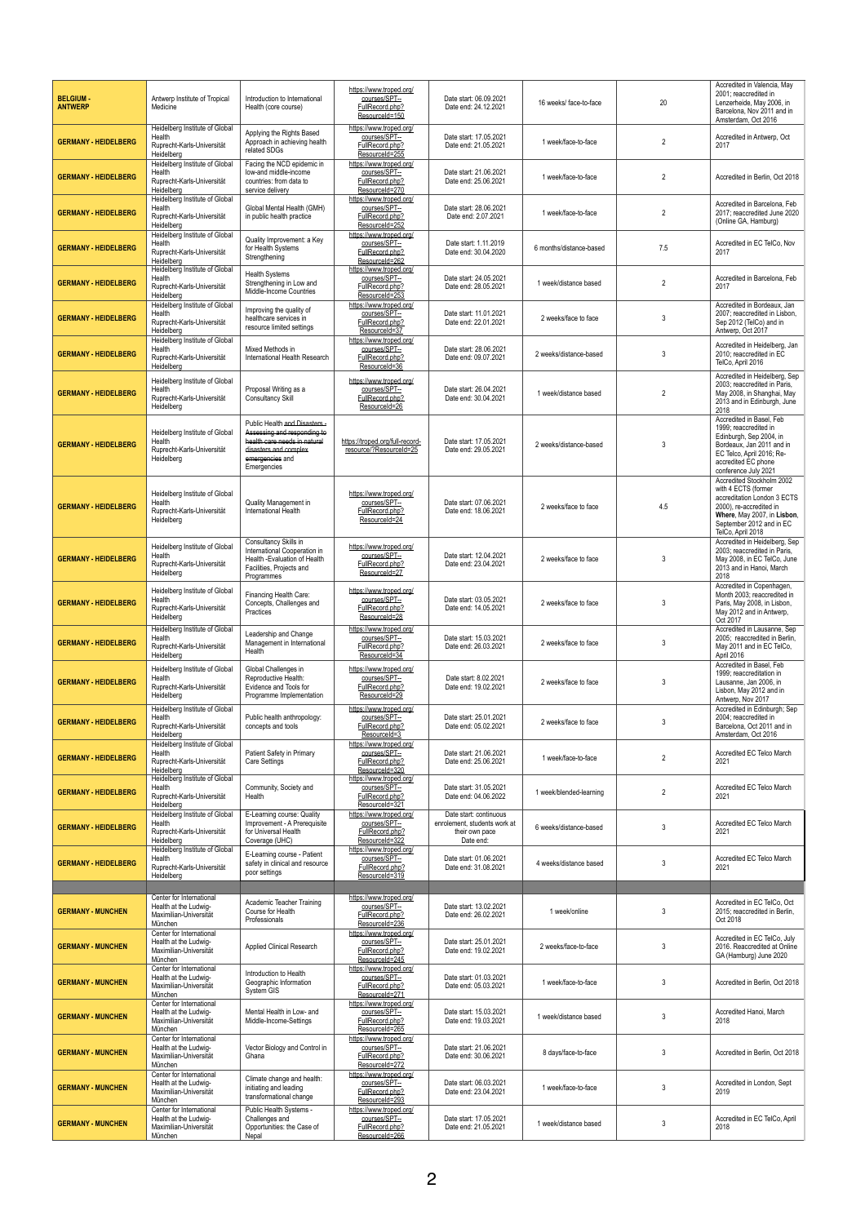| <b>BELGIUM-</b><br><b>ANTWERP</b> | Antwerp Institute of Tropical<br>Medicine                                                   | Introduction to International<br>Health (core course)                                                                                                  | https://www.troped.org/<br>courses/SPT--<br>FullRecord.php?                   | Date start: 06.09.2021<br>Date end: 24.12.2021                                        | 16 weeks/ face-to-face  | 20             | Accredited in Valencia, May<br>2001; reaccredited in<br>Lenzerheide, May 2006, in                                                                                                          |
|-----------------------------------|---------------------------------------------------------------------------------------------|--------------------------------------------------------------------------------------------------------------------------------------------------------|-------------------------------------------------------------------------------|---------------------------------------------------------------------------------------|-------------------------|----------------|--------------------------------------------------------------------------------------------------------------------------------------------------------------------------------------------|
|                                   |                                                                                             |                                                                                                                                                        | ResourceId=150                                                                |                                                                                       |                         |                | Barcelona. Nov 2011 and in<br>Amsterdam, Oct 2016                                                                                                                                          |
| <b>GERMANY - HEIDELBERG</b>       | Heidelberg Institute of Global<br>Health<br>Ruprecht-Karls-Universität<br>Heidelberg        | Applying the Rights Based<br>Approach in achieving health<br>related SDGs                                                                              | https://www.troped.org/<br>courses/SPT-<br>FullRecord.php?<br>ResourceId=255  | Date start: 17.05.2021<br>Date end: 21.05.2021                                        | 1 week/face-to-face     | $\overline{2}$ | Accredited in Antwerp, Oct<br>2017                                                                                                                                                         |
| <b>GERMANY - HEIDELBERG</b>       | <b>Heidelberg Institute of Global</b><br>Health<br>Ruprecht-Karls-Universität<br>Heidelberg | Facing the NCD epidemic in<br>low-and middle-income<br>countries: from data to<br>service delivery                                                     | https://www.troped.org/<br>courses/SPT-<br>FullRecord.php?<br>ResourceId=270  | Date start: 21.06.2021<br>Date end: 25.06.2021                                        | 1 week/face-to-face     | $\overline{2}$ | Accredited in Berlin, Oct 2018                                                                                                                                                             |
| <b>GERMANY - HEIDELBERG</b>       | Heidelberg Institute of Global<br>Health<br>Ruprecht-Karls-Universität<br>Heidelberg        | Global Mental Health (GMH)<br>in public health practice                                                                                                | https://www.troped.org/<br>courses/SPT-<br>FullRecord.php?<br>ResourceId=252  | Date start: 28.06.2021<br>Date end: 2.07.2021                                         | 1 week/face-to-face     | $\overline{2}$ | Accredited in Barcelona, Feb<br>2017; reaccredited June 2020<br>(Online GA, Hamburg)                                                                                                       |
| <b>GERMANY - HEIDELBERG</b>       | Heidelberg Institute of Global<br>Health<br>Ruprecht-Karls-Universität<br>Heidelberg        | Quality Improvement: a Key<br>for Health Systems<br>Strengthening                                                                                      | https://www.troped.org/<br>courses/SPT-<br>FullRecord.php?<br>ResourceId=262  | Date start: 1.11.2019<br>Date end: 30.04.2020                                         | 6 months/distance-based | 7.5            | Accredited in EC TelCo, Nov<br>2017                                                                                                                                                        |
| <b>GERMANY - HEIDELBERG</b>       | <b>Heidelberg Institute of Global</b><br>Health<br>Ruprecht-Karls-Universität<br>Heidelberg | <b>Health Systems</b><br>Strengthening in Low and<br>Middle-Income Countries                                                                           | https://www.troped.org/<br>courses/SPT--<br>FullRecord.php?<br>ResourceId=253 | Date start: 24.05.2021<br>Date end: 28.05.2021                                        | 1 week/distance based   | 2              | Accredited in Barcelona, Feb<br>2017                                                                                                                                                       |
| <b>GERMANY - HEIDELBERG</b>       | Heidelberg Institute of Global<br>Health<br>Ruprecht-Karls-Universität<br>Heidelberg        | Improving the quality of<br>healthcare services in<br>resource limited settings                                                                        | https://www.troped.org/<br>courses/SPT--<br>FullRecord.php?<br>ResourceId=37  | Date start: 11.01.2021<br>Date end: 22.01.2021                                        | 2 weeks/face to face    | 3              | Accredited in Bordeaux, Jan<br>2007; reaccredited in Lisbon,<br>Sep 2012 (TelCo) and in<br>Antwerp, Oct 2017                                                                               |
| <b>GERMANY - HEIDELBERG</b>       | Heidelberg Institute of Global<br>Health<br>Ruprecht-Karls-Universität<br>Heidelberg        | Mixed Methods in<br>International Health Research                                                                                                      | https://www.troped.org/<br>courses/SPT--<br>FullRecord.php?<br>ResourceId=36  | Date start: 28.06.2021<br>Date end: 09.07.2021                                        | 2 weeks/distance-based  | 3              | Accredited in Heidelberg, Jan<br>2010; reaccredited in EC<br>TelCo, April 2016                                                                                                             |
| <b>GERMANY - HEIDELBERG</b>       | Heidelberg Institute of Global<br>Health<br>Ruprecht-Karls-Universität<br>Heidelberg        | Proposal Writing as a<br><b>Consultancy Skill</b>                                                                                                      | https://www.troped.org/<br>courses/SPT-<br>FullRecord.php?<br>ResourceId=26   | Date start: 26.04.2021<br>Date end: 30.04.2021                                        | 1 week/distance based   | $\overline{2}$ | Accredited in Heidelberg, Sep<br>2003; reaccredited in Paris,<br>May 2008, in Shanghai, May<br>2013 and in Edinburgh, June<br>2018                                                         |
| <b>GERMANY - HEIDELBERG</b>       | Heidelberg Institute of Global<br>Health<br>Ruprecht-Karls-Universität<br>Heidelberg        | Public Health and Disasters-<br>Assessing and responding to<br>health care needs in natural<br>disasters and complex<br>emergencies and<br>Emergencies | https://troped.org/full-record-<br>resource/?ResourceId=25                    | Date start: 17.05.2021<br>Date end: 29.05.2021                                        | 2 weeks/distance-based  | 3              | Accredited in Basel, Feb<br>1999; reaccredited in<br>Edinburgh, Sep 2004, in<br>Bordeaux, Jan 2011 and in<br>EC Telco, April 2016; Re-<br>accredited EC phone<br>conference July 2021      |
| <b>GERMANY - HEIDELBERG</b>       | Heidelberg Institute of Global<br>Health<br>Ruprecht-Karls-Universität<br>Heidelberg        | Quality Management in<br>International Health                                                                                                          | https://www.troped.org/<br>courses/SPT--<br>FullRecord.php?<br>ResourceId=24  | Date start: 07.06.2021<br>Date end: 18.06.2021                                        | 2 weeks/face to face    | 4.5            | Accredited Stockholm 2002<br>with 4 ECTS (former<br>accreditation London 3 ECTS<br>2000), re-accredited in<br>Where, May 2007, in Lisbon,<br>September 2012 and in EC<br>TelCo, April 2018 |
| <b>GERMANY - HEIDELBERG</b>       | Heidelberg Institute of Global<br>Health<br>Ruprecht-Karls-Universität<br>Heidelberg        | Consultancy Skills in<br>International Cooperation in<br>Health -Evaluation of Health<br>Facilities, Projects and<br>Programmes                        | https://www.troped.org/<br>courses/SPT-<br>FullRecord.php?<br>ResourceId=27   | Date start: 12.04.2021<br>Date end: 23.04.2021                                        | 2 weeks/face to face    | 3              | Accredited in Heidelberg, Sep<br>2003; reaccredited in Paris,<br>May 2008, in EC TelCo, June<br>2013 and in Hanoi. March<br>2018                                                           |
| <b>GERMANY - HEIDELBERG</b>       | Heidelberg Institute of Global<br>Health<br>Ruprecht-Karls-Universität<br>Heidelberg        | Financing Health Care:<br>Concepts, Challenges and<br>Practices                                                                                        | https://www.troped.org/<br>courses/SPT--<br>FullRecord.php?<br>ResourceId=28  | Date start: 03.05.2021<br>Date end: 14.05.2021                                        | 2 weeks/face to face    | 3              | Accredited in Copenhagen,<br>Month 2003; reaccredited in<br>Paris, May 2008, in Lisbon,<br>May 2012 and in Antwerp,<br>Oct 2017                                                            |
| <b>GERMANY - HEIDELBERG</b>       | Heidelberg Institute of Global<br>Health<br>Ruprecht-Karls-Universität<br>Heidelberg        | Leadership and Change<br>Management in International<br>Health                                                                                         | https://www.troped.org/<br>courses/SPT--<br>FullRecord.php?<br>ResourceId=34  | Date start: 15.03.2021<br>Date end: 26.03.2021                                        | 2 weeks/face to face    | 3              | Accredited in Lausanne, Sep<br>2005; reaccredited in Berlin,<br>May 2011 and in EC TelCo,<br>April 2016                                                                                    |
| <b>GERMANY - HEIDELBERG</b>       | Heidelberg Institute of Global<br>Health<br>Ruprecht-Karls-Universität<br>Heidelberg        | Global Challenges in<br>Reproductive Health:<br>Evidence and Tools for<br>Programme Implementation                                                     | https://www.troped.org/<br>courses/SPT-<br>FullRecord.php?<br>ResourceId=29   | Date start: 8.02.2021<br>Date end: 19.02.2021                                         | 2 weeks/face to face    | 3              | Accredited in Basel, Feb<br>1999; reaccreditation in<br>Lausanne, Jan 2006, in<br>Lisbon, May 2012 and in<br>Antwerp, Nov 2017                                                             |
| <b>GERMANY - HEIDELBERG</b>       | Heidelberg Institute of Global<br>Health<br>Ruprecht-Karls-Universität<br>Heidelberg        | Public health anthropology:<br>concepts and tools                                                                                                      | https://www.troped.org/<br>courses/SPT--<br>FullRecord.php?<br>ResourceId=3   | Date start: 25.01.2021<br>Date end: 05.02.2021                                        | 2 weeks/face to face    | 3              | Accredited in Edinburgh; Sep<br>2004; reaccredited in<br>Barcelona, Oct 2011 and in<br>Amsterdam, Oct 2016                                                                                 |
| <b>GERMANY - HEIDELBERG</b>       | Heidelberg Institute of Global<br>Health<br>Ruprecht-Karls-Universität<br>Heidelberg        | Patient Safety in Primary<br>Care Settings                                                                                                             | https://www.troped.org/<br>courses/SPT--<br>FullRecord.php?<br>ResourceId=320 | Date start: 21.06.2021<br>Date end: 25.06.2021                                        | 1 week/face-to-face     | 2              | Accredited EC Telco March<br>2021                                                                                                                                                          |
| <b>GERMANY - HEIDELBERG</b>       | <b>Heidelberg Institute of Global</b><br>Health<br>Ruprecht-Karls-Universität<br>Heidelberg | Community, Society and<br>Health                                                                                                                       | https://www.troped.org/<br>courses/SPT--<br>FullRecord.php?<br>ResourceId=321 | Date start: 31.05.2021<br>Date end: 04.06.2022                                        | 1 week/blended-learning | $\overline{2}$ | Accredited EC Telco March<br>2021                                                                                                                                                          |
| <b>GERMANY - HEIDELBERG</b>       | <b>Heidelberg Institute of Global</b><br>Health<br>Ruprecht-Karls-Universität<br>Heidelberg | E-Learning course: Quality<br>Improvement - A Prerequisite<br>for Universal Health<br>Coverage (UHC)                                                   | https://www.troped.org/<br>courses/SPT--<br>FullRecord.php?<br>ResourceId=322 | Date start: continuous<br>enrolement, students work at<br>their own pace<br>Date end: | 6 weeks/distance-based  | 3              | Accredited EC Telco March<br>2021                                                                                                                                                          |
| <b>GERMANY - HEIDELBERG</b>       | <b>Heidelberg Institute of Global</b><br>Health<br>Ruprecht-Karls-Universität<br>Heidelberg | E-Learning course - Patient<br>safety in clinical and resource<br>poor settings                                                                        | https://www.troped.org/<br>courses/SPT--<br>FullRecord.php?<br>ResourceId=319 | Date start: 01.06.2021<br>Date end: 31.08.2021                                        | 4 weeks/distance based  | 3              | Accredited EC Telco March<br>2021                                                                                                                                                          |
|                                   | Center for International                                                                    |                                                                                                                                                        |                                                                               |                                                                                       |                         |                |                                                                                                                                                                                            |
| <b>GERMANY - MUNCHEN</b>          | Health at the Ludwig-<br>Maximilian-Universität<br>München                                  | Academic Teacher Training<br>Course for Health<br>Professionals                                                                                        | https://www.troped.org/<br>courses/SPT--<br>FullRecord.php?<br>ResourceId=236 | Date start: 13.02.2021<br>Date end: 26.02.2021                                        | 1 week/online           | 3              | Accredited in EC TelCo, Oct<br>2015; reaccredited in Berlin,<br>Oct 2018                                                                                                                   |
| <b>GERMANY - MUNCHEN</b>          | Center for International<br>Health at the Ludwig-<br>Maximilian-Universität<br>München      | Applied Clinical Research                                                                                                                              | https://www.troped.org/<br>courses/SPT-<br>FullRecord.php?<br>ResourceId=245  | Date start: 25.01.2021<br>Date end: 19.02.2021                                        | 2 weeks/face-to-face    | 3              | Accredited in EC TelCo, July<br>2016. Reaccredited at Online<br>GA (Hamburg) June 2020                                                                                                     |
| <b>GERMANY - MUNCHEN</b>          | Center for International<br>Health at the Ludwig-<br>Maximilian-Universität<br>München      | Introduction to Health<br>Geographic Information<br>System GIS                                                                                         | https://www.troped.org/<br>courses/SPT-<br>FullRecord.php?<br>ResourceId=271  | Date start: 01.03.2021<br>Date end: 05.03.2021                                        | 1 week/face-to-face     | 3              | Accredited in Berlin, Oct 2018                                                                                                                                                             |
| <b>GERMANY - MUNCHEN</b>          | Center for International<br>Health at the Ludwig-<br>Maximilian-Universität<br>München      | Mental Health in Low- and<br>Middle-Income-Settings                                                                                                    | https://www.troped.org/<br>courses/SPT-<br>FullRecord.php?<br>ResourceId=265  | Date start: 15.03.2021<br>Date end: 19.03.2021                                        | 1 week/distance based   | 3              | Accredited Hanoi, March<br>2018                                                                                                                                                            |
| <b>GERMANY - MUNCHEN</b>          | Center for International<br>Health at the Ludwig-<br>Maximilian-Universität<br>München      | Vector Biology and Control in<br>Ghana                                                                                                                 | https://www.troped.org/<br>courses/SPT--<br>FullRecord.php?<br>ResourceId=272 | Date start: 21.06.2021<br>Date end: 30.06.2021                                        | 8 days/face-to-face     | 3              | Accredited in Berlin, Oct 2018                                                                                                                                                             |
| <b>GERMANY - MUNCHEN</b>          | Center for International<br>Health at the Ludwig-<br>Maximilian-Universität<br>München      | Climate change and health:<br>initiating and leading<br>transformational change                                                                        | https://www.troped.org/<br>courses/SPT-<br>FullRecord.php?<br>ResourceId=293  | Date start: 06.03.2021<br>Date end: 23.04.2021                                        | 1 week/face-to-face     | 3              | Accredited in London, Sept<br>2019                                                                                                                                                         |
| <b>GERMANY - MUNCHEN</b>          | Center for International<br>Health at the Ludwig-<br>Maximilian-Universität<br>München      | Public Health Systems -<br>Challenges and<br>Opportunities: the Case of<br>Nepal                                                                       | https://www.troped.org/<br>courses/SPT--<br>FullRecord.php?<br>ResourceId=266 | Date start: 17.05.2021<br>Date end: 21.05.2021                                        | 1 week/distance based   | 3              | Accredited in EC TelCo, April<br>2018                                                                                                                                                      |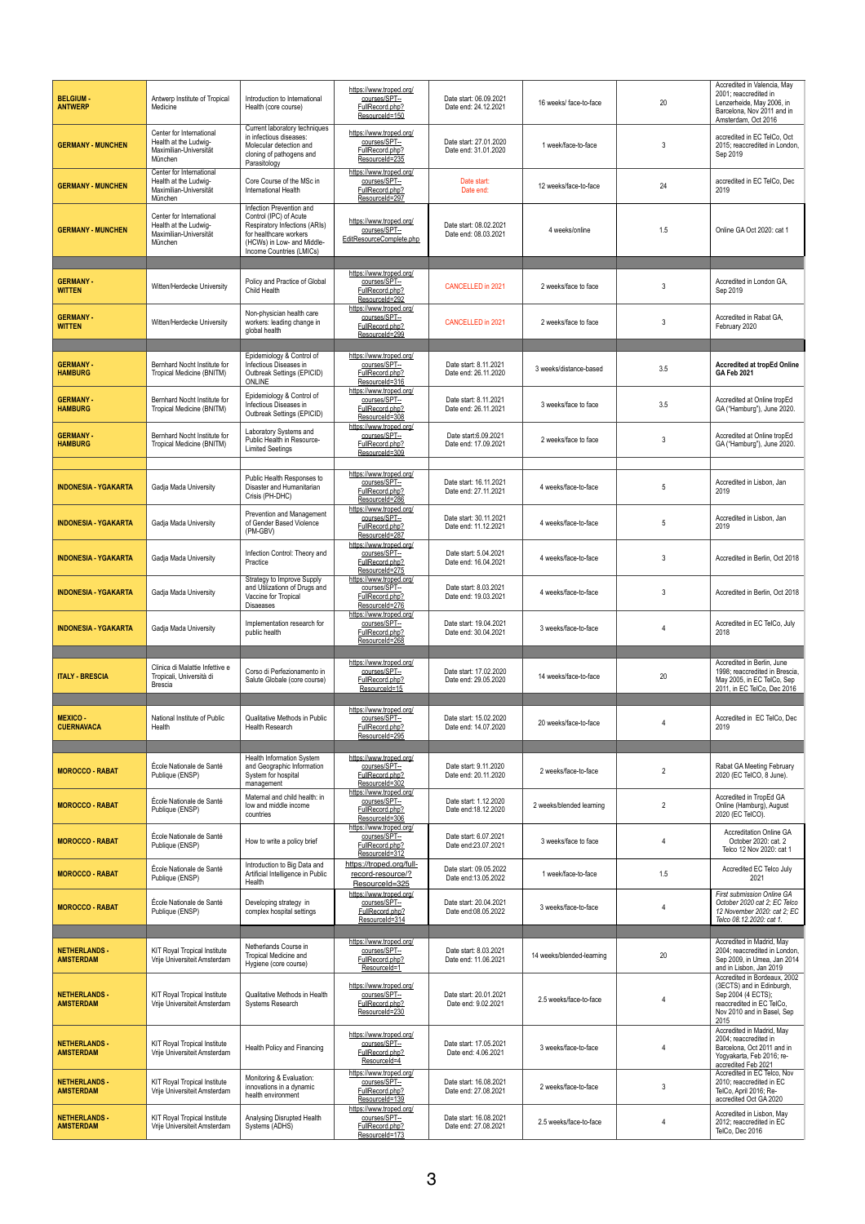| <b>BELGIUM-</b><br><b>ANTWERP</b>        | Antwerp Institute of Tropical<br>Medicine                                              | Introduction to International<br>Health (core course)                                                                                                                   | https://www.troped.org/<br>courses/SPT--<br>FullRecord.php?<br>ResourceId=150                  | Date start: 06.09.2021<br>Date end: 24.12.2021 | 16 weeks/ face-to-face    | 20             | Accredited in Valencia. May<br>2001; reaccredited in<br>Lenzerheide, May 2006, in<br>Barcelona. Nov 2011 and in<br>Amsterdam, Oct 2016             |
|------------------------------------------|----------------------------------------------------------------------------------------|-------------------------------------------------------------------------------------------------------------------------------------------------------------------------|------------------------------------------------------------------------------------------------|------------------------------------------------|---------------------------|----------------|----------------------------------------------------------------------------------------------------------------------------------------------------|
| <b>GERMANY - MUNCHEN</b>                 | Center for International<br>Health at the Ludwig-<br>Maximilian-Universität<br>München | Current laboratory techniques<br>in infectious diseases:<br>Molecular detection and<br>cloning of pathogens and<br>Parasitology                                         | https://www.troped.org/<br>courses/SPT--<br>FullRecord.php?<br>ResourceId=235                  | Date start: 27.01.2020<br>Date end: 31.01.2020 | 1 week/face-to-face       | 3              | accredited in EC TelCo, Oct<br>2015: reaccredited in London.<br>Sep 2019                                                                           |
| <b>GERMANY - MUNCHEN</b>                 | Center for International<br>Health at the Ludwig-<br>Maximilian-Universität<br>München | Core Course of the MSc in<br>International Health                                                                                                                       | https://www.troped.org/<br>courses/SPT-<br>FullRecord.php?<br>ResourceId=297                   | Date start:<br>Date end:                       | 12 weeks/face-to-face     | 24             | accredited in EC TelCo. Dec<br>2019                                                                                                                |
| <b>GERMANY - MUNCHEN</b>                 | Center for International<br>Health at the Ludwig-<br>Maximilian-Universität<br>München | Infection Prevention and<br>Control (IPC) of Acute<br>Respiratory Infections (ARIs)<br>for healthcare workers<br>(HCWs) in Low- and Middle-<br>Income Countries (LMICs) | https://www.troped.org/<br>courses/SPT-<br>EditResourceComplete.php                            | Date start: 08.02.2021<br>Date end: 08.03.2021 | 4 weeks/online            | 1.5            | Online GA Oct 2020: cat 1                                                                                                                          |
| <b>GERMANY-</b><br><b>WITTEN</b>         | Witten/Herdecke University                                                             | Policy and Practice of Global<br>Child Health                                                                                                                           | https://www.troped.org/<br>courses/SPT-<br>FullRecord.php?                                     | <b>CANCELLED in 2021</b>                       | 2 weeks/face to face      | 3              | Accredited in London GA,<br>Sep 2019                                                                                                               |
| <b>GERMANY-</b><br><b>WITTEN</b>         | Witten/Herdecke University                                                             | Non-physician health care<br>workers: leading change in<br>global health                                                                                                | ResourceId=292<br>https://www.troped.org/<br>courses/SPT-<br>FullRecord.php?<br>ResourceId=299 | <b>CANCELLED in 2021</b>                       | 2 weeks/face to face      | 3              | Accredited in Rabat GA,<br>February 2020                                                                                                           |
| <b>GERMANY-</b><br><b>HAMBURG</b>        | Bernhard Nocht Institute for<br>Tropical Medicine (BNITM)                              | Epidemiology & Control of<br>Infectious Diseases in<br>Outbreak Settings (EPICID)<br><b>ONLINE</b>                                                                      | https://www.troped.org/<br>courses/SPT--<br>FullRecord.php?<br>ResourceId=316                  | Date start: 8.11.2021<br>Date end: 26.11.2020  | 3 weeks/distance-based    | 3.5            | Accredited at tropEd Online<br><b>GA Feb 2021</b>                                                                                                  |
| <b>GERMANY-</b><br><b>HAMBURG</b>        | Bernhard Nocht Institute for<br>Tropical Medicine (BNITM)                              | Epidemiology & Control of<br>Infectious Diseases in<br>Outbreak Settings (EPICID)                                                                                       | https://www.troped.org/<br>courses/SPT-<br>FullRecord.php?<br>ResourceId=308                   | Date start: 8.11.2021<br>Date end: 26.11.2021  | 3 weeks/face to face      | 3.5            | Accredited at Online tropEd<br>GA ("Hamburg"), June 2020.                                                                                          |
| <b>GERMANY-</b><br><b>HAMBURG</b>        | Bernhard Nocht Institute for<br>Tropical Medicine (BNITM)                              | Laboratory Systems and<br>Public Health in Resource-<br><b>Limited Seetings</b>                                                                                         | https://www.troped.org/<br>courses/SPT-<br>FullRecord.php?<br>ResourceId=309                   | Date start: 6.09.2021<br>Date end: 17.09.2021  | 2 weeks/face to face      | 3              | Accredited at Online tropEd<br>GA ("Hamburg"), June 2020.                                                                                          |
| <b>INDONESIA - YGAKARTA</b>              | Gadja Mada University                                                                  | Public Health Responses to<br>Disaster and Humanitarian<br>Crisis (PH-DHC)                                                                                              | https://www.troped.org/<br>courses/SPT--<br>FullRecord.php?<br>ResourceId=286                  | Date start: 16.11.2021<br>Date end: 27.11.2021 | 4 weeks/face-to-face      | 5              | Accredited in Lisbon, Jan<br>2019                                                                                                                  |
| <b>INDONESIA YGAKARTA</b>                | Gadja Mada University                                                                  | Prevention and Management<br>of Gender Based Violence<br>(PM-GBV)                                                                                                       | https://www.troped.org/<br>courses/SPT--<br>FullRecord.php?<br>ResourceId=287                  | Date start: 30.11.2021<br>Date end: 11.12.2021 | 4 weeks/face-to-face      | $\overline{5}$ | Accredited in Lisbon, Jan<br>2019                                                                                                                  |
| <b>INDONESIA - YGAKARTA</b>              | Gadja Mada University                                                                  | Infection Control: Theory and<br>Practice                                                                                                                               | https://www.troped.org/<br>courses/SPT-<br>FullRecord.php?<br>ResourceId=275                   | Date start: 5.04.2021<br>Date end: 16.04.2021  | 4 weeks/face-to-face      | 3              | Accredited in Berlin, Oct 2018                                                                                                                     |
| <b>INDONESIA - YGAKARTA</b>              | Gadja Mada University                                                                  | Strategy to Improve Supply<br>and Utilizationn of Drugs and<br>Vaccine for Tropical<br><b>Disaeases</b>                                                                 | https://www.troped.org/<br>courses/SPT-<br>FullRecord.php?<br>ResourceId=276                   | Date start: 8.03.2021<br>Date end: 19.03.2021  | 4 weeks/face-to-face      | 3              | Accredited in Berlin, Oct 2018                                                                                                                     |
| <b>INDONESIA - YGAKARTA</b>              | Gadja Mada University                                                                  | Implementation research for<br>public health                                                                                                                            | https://www.troped.org/<br>courses/SPT-<br>FullRecord.php?<br>ResourceId=268                   | Date start: 19.04.2021<br>Date end: 30.04.2021 | 3 weeks/face-to-face      |                | Accredited in EC TelCo, July<br>2018                                                                                                               |
| <b>ITALY BRESCIA</b>                     | Clinica di Malattie Infettive e<br>Tropicali, Università di<br><b>Brescia</b>          | Corso di Perfezionamento in<br>Salute Globale (core course)                                                                                                             | https://www.troped.org/<br>courses/SPT-<br>FullRecord.php?<br>ResourceId=15                    | Date start: 17.02.2020<br>Date end: 29.05.2020 | 14 weeks/face-to-face     | 20             | Accredited in Berlin, June<br>1998; reaccredited in Brescia,<br>May 2005, in EC TelCo, Sep<br>2011, in EC TelCo, Dec 2016                          |
| <b>MEXICO-</b><br><b>CUERNAVACA</b>      | National Institute of Public<br>Health                                                 | Qualitative Methods in Public<br><b>Health Research</b>                                                                                                                 | https://www.troped.org/<br>courses/SPT-<br>FullRecord.php?<br>ResourceId=295                   | Date start: 15.02.2020<br>Date end: 14.07.2020 | 20 weeks/face-to-face     |                | Accredited in EC TelCo, Dec<br>2019                                                                                                                |
| <b>MOROCCO - RABAT</b>                   | École Nationale de Santé<br>Publique (ENSP)                                            | Health Information System<br>and Geographic Information<br>System for hospital<br>management                                                                            | https://www.troped.org/<br>courses/SPT-<br>EullRecord.php?<br>ResourceId=302                   | Date start: 9.11.2020<br>Date end: 20.11.2020  | 2 weeks/face-to-face      | $\overline{2}$ | Rabat GA Meeting February<br>2020 (EC TelCO, 8 June).                                                                                              |
| <b>MOROCCO - RABAT</b>                   | École Nationale de Santé<br>Publique (ENSP)                                            | Maternal and child health: in<br>low and middle income<br>countries                                                                                                     | https://www.troped.org/<br>courses/SPT--<br>FullRecord.php?<br>ResourceId=306                  | Date start: 1.12.2020<br>Date end: 18.12.2020  | 2 weeks/blended learning  | $\overline{2}$ | Accredited in TropEd GA<br>Online (Hamburg), August<br>2020 (EC TelCO).                                                                            |
| <b>MOROCCO - RABAT</b>                   | École Nationale de Santé<br>Publique (ENSP)                                            | How to write a policy brief                                                                                                                                             | https://www.troped.org/<br>courses/SPT-<br>FullRecord.php?<br>ResourceId=312                   | Date start: 6.07.2021<br>Date end: 23.07.2021  | 3 weeks/face to face      | 4              | <b>Accreditation Online GA</b><br>October 2020: cat. 2<br>Telco 12 Nov 2020: cat 1                                                                 |
| <b>MOROCCO - RABAT</b>                   | École Nationale de Santé<br>Publique (ENSP)                                            | Introduction to Big Data and<br>Artificial Intelligence in Public<br>Health                                                                                             | https://troped.org/full-<br>record-resource/?<br>ResourceId=325                                | Date start: 09.05.2022<br>Date end:13.05.2022  | 1 week/face-to-face       | 1.5            | Accredited EC Telco July<br>2021                                                                                                                   |
| <b>MOROCCO - RABAT</b>                   | École Nationale de Santé<br>Publique (ENSP)                                            | Developing strategy in<br>complex hospital settings                                                                                                                     | https://www.troped.org/<br>courses/SPT-<br>FullRecord.php?<br>ResourceId=314                   | Date start: 20.04.2021<br>Date end:08.05.2022  | 3 weeks/face-to-face      | 4              | First submission Online GA<br>October 2020 cat 2; EC Telco<br>12 November 2020: cat 2: EC<br>Telco 08.12.2020: cat 1.                              |
| <b>NETHERLANDS -</b><br><b>AMSTERDAM</b> | <b>KIT Royal Tropical Institute</b><br>Vrije Universiteit Amsterdam                    | Netherlands Course in<br><b>Tropical Medicine and</b><br>Hygiene (core course)                                                                                          | https://www.troped.org/<br>courses/SPT--<br>FullRecord.php?<br>ResourceId=1                    | Date start: 8.03.2021<br>Date end: 11.06.2021  | 14 weeks/blended-learning | 20             | Accredited in Madrid, May<br>2004: reaccredited in London.<br>Sep 2009, in Umea, Jan 2014<br>and in Lisbon, Jan 2019                               |
| <b>NETHERLANDS -</b><br><b>AMSTERDAM</b> | <b>KIT Royal Tropical Institute</b><br>Vrije Universiteit Amsterdam                    | Qualitative Methods in Health<br><b>Systems Research</b>                                                                                                                | https://www.troped.org/<br>courses/SPT-<br>FullRecord.php?<br>ResourceId=230                   | Date start: 20.01.2021<br>Date end: 9.02.2021  | 2.5 weeks/face-to-face    | 4              | Accredited in Bordeaux, 2002<br>(3ECTS) and in Edinburgh,<br>Sep 2004 (4 ECTS);<br>reaccredited in EC TelCo,<br>Nov 2010 and in Basel, Sep<br>2015 |
| <b>NETHERLANDS -</b><br><b>AMSTERDAM</b> | <b>KIT Royal Tropical Institute</b><br>Vrije Universiteit Amsterdam                    | Health Policy and Financing                                                                                                                                             | https://www.troped.org/<br>courses/SPT-<br>EullRecord.php?<br>ResourceId=4                     | Date start: 17.05.2021<br>Date end: 4.06.2021  | 3 weeks/face-to-face      | $\overline{4}$ | Accredited in Madrid, May<br>2004; reaccredited in<br>Barcelona, Oct 2011 and in<br>Yogyakarta, Feb 2016; re-<br>accredited Feb 2021               |
| <b>NETHERLANDS -</b><br><b>AMSTERDAM</b> | <b>KIT Royal Tropical Institute</b><br>Vrije Universiteit Amsterdam                    | Monitoring & Evaluation:<br>innovations in a dynamic<br>health environment                                                                                              | https://www.troped.org/<br>courses/SPT--<br>FullRecord.php?<br>ResourceId=139                  | Date start: 16.08.2021<br>Date end: 27.08.2021 | 2 weeks/face-to-face      | 3              | Accredited in EC Telco, Nov<br>2010: reaccredited in EC<br>TelCo, April 2016; Re-<br>accredited Oct GA 2020                                        |
| <b>NETHERLANDS -</b><br><b>AMSTERDAM</b> | <b>KIT Royal Tropical Institute</b><br>Vrije Universiteit Amsterdam                    | Analysing Disrupted Health<br>Systems (ADHS)                                                                                                                            | https://www.troped.org/<br>courses/SPT-<br>FullRecord.php?<br>ResourceId=173                   | Date start: 16.08.2021<br>Date end: 27.08.2021 | 2.5 weeks/face-to-face    | $\overline{4}$ | Accredited in Lisbon, May<br>2012: reaccredited in EC<br>TelCo, Dec 2016                                                                           |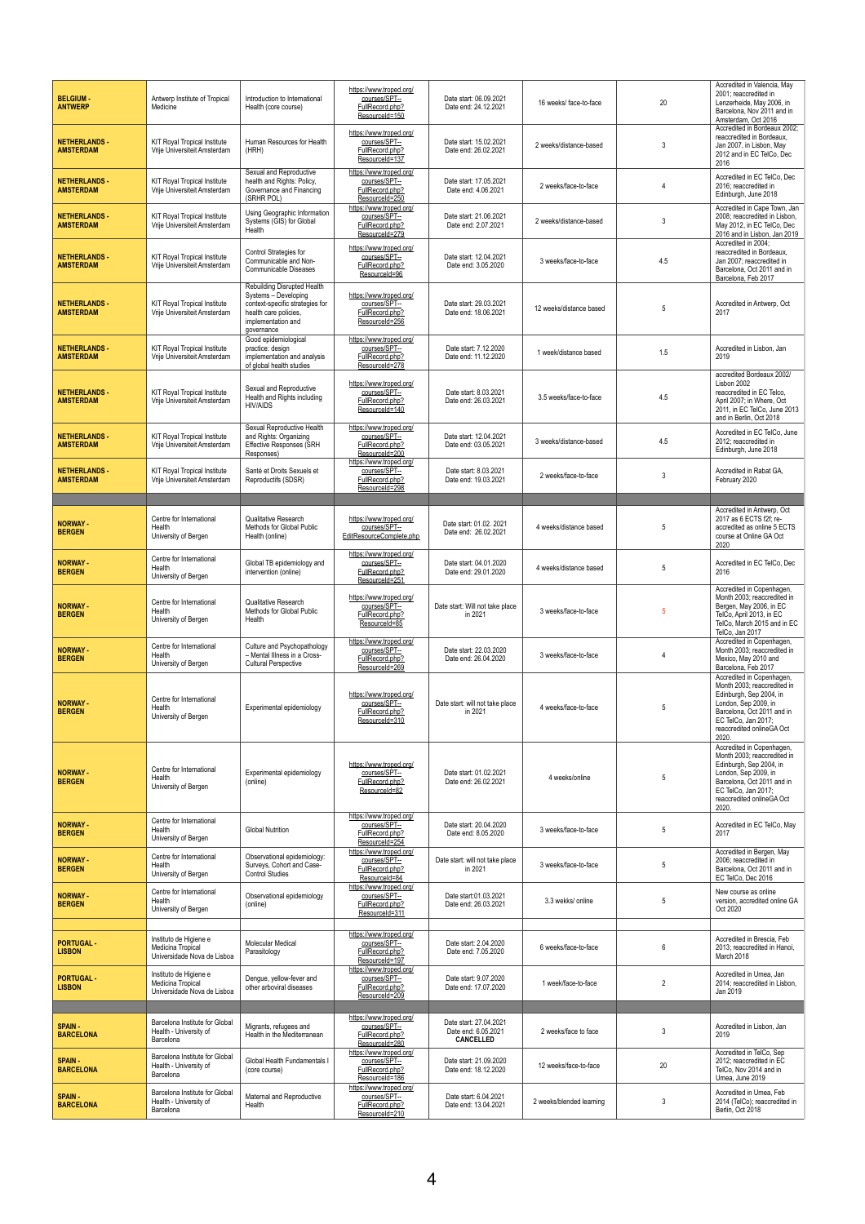| <b>BELGIUM-</b><br><b>ANTWERP</b>        | Antwerp Institute of Tropical<br>Medicine                                  | Introduction to International<br>Health (core course)                                                                                               | https://www.troped.org/<br>courses/SPT--<br>FullRecord.php?<br>ResourceId=150                   | Date start: 06.09.2021<br>Date end: 24.12.2021                    | 16 weeks/face-to-face    | 20             | Accredited in Valencia, May<br>2001; reaccredited in<br>Lenzerheide, May 2006, in<br>Barcelona, Nov 2011 and in<br>Amsterdam, Oct 2016                                                                 |
|------------------------------------------|----------------------------------------------------------------------------|-----------------------------------------------------------------------------------------------------------------------------------------------------|-------------------------------------------------------------------------------------------------|-------------------------------------------------------------------|--------------------------|----------------|--------------------------------------------------------------------------------------------------------------------------------------------------------------------------------------------------------|
| <b>NETHERLANDS -</b><br><b>AMSTERDAM</b> | KIT Royal Tropical Institute<br>Vrije Universiteit Amsterdam               | Human Resources for Health<br>(HRH)                                                                                                                 | https://www.troped.org/<br>courses/SPT--<br>FullRecord.php?<br>ResourceId=137                   | Date start: 15.02.2021<br>Date end: 26.02.2021                    | 2 weeks/distance-based   | 3              | Accredited in Bordeaux 2002:<br>reaccredited in Bordeaux.<br>Jan 2007, in Lisbon, May<br>2012 and in EC TelCo, Dec<br>2016                                                                             |
| <b>NETHERLANDS -</b><br><b>AMSTERDAM</b> | KIT Royal Tropical Institute<br>Vrije Universiteit Amsterdam               | Sexual and Reproductive<br>health and Rights: Policy,<br>Governance and Financing<br>(SRHR POL)                                                     | https://www.troped.org/<br>courses/SPT--<br>FullRecord.php?<br>ResourceId=250                   | Date start: 17.05.2021<br>Date end: 4.06.2021                     | 2 weeks/face-to-face     | $\overline{4}$ | Accredited in EC TelCo. Dec<br>2016; reaccredited in<br>Edinburgh, June 2018                                                                                                                           |
| <b>NETHERLANDS -</b><br><b>AMSTERDAM</b> | KIT Royal Tropical Institute<br>Vrije Universiteit Amsterdam               | Using Geographic Information<br>Systems (GIS) for Global<br>Health                                                                                  | https://www.troped.org/<br>courses/SPT--<br>FullRecord.php?<br>ResourceId=279                   | Date start: 21.06.2021<br>Date end: 2.07.2021                     | 2 weeks/distance-based   | 3              | Accredited in Cape Town, Jan<br>2008; reaccredited in Lisbon,<br>May 2012, in EC TelCo, Dec<br>2016 and in Lisbon, Jan 2019                                                                            |
| <b>NETHERLANDS -</b><br><b>AMSTERDAM</b> | KIT Royal Tropical Institute<br>Vrije Universiteit Amsterdam               | Control Strategies for<br>Communicable and Non-<br>Communicable Diseases                                                                            | https://www.troped.org/<br>courses/SPT--<br>FullRecord.php?<br>ResourceId=96                    | Date start: 12.04.2021<br>Date end: 3.05.2020                     | 3 weeks/face-to-face     | 4.5            | Accredited in 2004:<br>reaccredited in Bordeaux.<br>Jan 2007; reaccredited in<br>Barcelona, Oct 2011 and in<br>Barcelona, Feb 2017                                                                     |
| <b>NETHERLANDS -</b><br><b>AMSTERDAM</b> | <b>KIT Royal Tropical Institute</b><br>Vrije Universiteit Amsterdam        | Rebuilding Disrupted Health<br>Systems - Developing<br>context-specific strategies for<br>health care policies.<br>implementation and<br>governance | https://www.troped.org/<br>courses/SPT--<br>FullRecord.php?<br>ResourceId=256                   | Date start: 29.03.2021<br>Date end: 18.06.2021                    | 12 weeks/distance based  | -5             | Accredited in Antwerp, Oct<br>2017                                                                                                                                                                     |
| <b>NETHERLANDS -</b><br><b>AMSTERDAM</b> | <b>KIT Royal Tropical Institute</b><br>Vrije Universiteit Amsterdam        | Good epidemiological<br>practice: design<br>implementation and analysis<br>of global health studies                                                 | https://www.troped.org/<br>courses/SPT--<br>FullRecord.php?<br>ResourceId=278                   | Date start: 7.12.2020<br>Date end: 11.12.2020                     | 1 week/distance based    | 1.5            | Accredited in Lisbon, Jan<br>2019                                                                                                                                                                      |
| <b>NETHERLANDS -</b><br><b>AMSTERDAM</b> | KIT Royal Tropical Institute<br>Vrije Universiteit Amsterdam               | Sexual and Reproductive<br>Health and Rights including<br><b>HIV/AIDS</b>                                                                           | https://www.troped.org/<br>courses/SPT--<br>FullRecord.php?<br>ResourceId=140                   | Date start: 8.03.2021<br>Date end: 26.03.2021                     | 3.5 weeks/face-to-face   | 4.5            | accredited Bordeaux 2002/<br>Lisbon 2002<br>reaccredited in EC Telco.<br>April 2007; in Where, Oct<br>2011, in EC TelCo, June 2013<br>and in Berlin, Oct 2018                                          |
| <b>NETHERLANDS -</b><br><b>AMSTERDAM</b> | <b>KIT Royal Tropical Institute</b><br>Vrije Universiteit Amsterdam        | Sexual Reproductive Health<br>and Rights: Organizing<br>Effective Responses (SRH<br>Responses)                                                      | https://www.troped.org/<br>courses/SPT--<br>FullRecord.php?<br>ResourceId=200                   | Date start: 12.04.2021<br>Date end: 03.05.2021                    | 3 weeks/distance-based   | 4.5            | Accredited in EC TelCo, June<br>2012; reaccredited in<br>Edinburgh, June 2018                                                                                                                          |
| <b>NETHERLANDS -</b><br><b>AMSTERDAM</b> | <b>KIT Royal Tropical Institute</b><br>Vrije Universiteit Amsterdam        | Santé et Droits Sexuels et<br>Reproductifs (SDSR)                                                                                                   | https://www.troped.org/<br>courses/SPT--<br>FullRecord.php?<br>ResourceId=298                   | Date start: 8.03.2021<br>Date end: 19.03.2021                     | 2 weeks/face-to-face     | 3              | Accredited in Rabat GA,<br>February 2020                                                                                                                                                               |
|                                          |                                                                            |                                                                                                                                                     |                                                                                                 |                                                                   |                          |                | Accredited in Antwerp, Oct                                                                                                                                                                             |
| <b>NORWAY -</b><br><b>BERGEN</b>         | Centre for International<br>Health<br>University of Bergen                 | Qualitative Research<br>Methods for Global Public<br>Health (online)                                                                                | https://www.troped.org/<br>courses/SPT--<br>EditResourceComplete.php<br>https://www.troped.org/ | Date start: 01.02. 2021<br>Date end: 26.02.2021                   | 4 weeks/distance based   | 5              | 2017 as 6 ECTS f2f; re-<br>accredited as online 5 ECTS<br>course at Online GA Oct<br>2020                                                                                                              |
| <b>NORWAY -</b><br><b>BERGEN</b>         | Centre for International<br>Health<br>University of Bergen                 | Global TB epidemiology and<br>intervention (online)                                                                                                 | courses/SPT--<br>FullRecord.php?<br>ResourceId=251                                              | Date start: 04.01.2020<br>Date end: 29.01.2020                    | 4 weeks/distance based   | 5              | Accredited in EC TelCo, Dec<br>2016<br>Accredited in Copenhagen,                                                                                                                                       |
| <b>NORWAY -</b><br><b>BERGEN</b>         | Centre for International<br>Health<br>University of Bergen                 | Qualitative Research<br>Methods for Global Public<br>Health                                                                                         | https://www.troped.org/<br>courses/SPT--<br>FullRecord.php?<br>ResourceId=85                    | Date start: Will not take place<br>in 2021                        | 3 weeks/face-to-face     | -5             | Month 2003; reaccredited in<br>Bergen, May 2006, in EC<br>TelCo, April 2013, in EC<br>TelCo, March 2015 and in EC<br>TelCo, Jan 2017                                                                   |
| <b>NORWAY -</b><br><b>BERGEN</b>         | Centre for International<br>Health<br>University of Bergen                 | Culture and Psychopathology<br>- Mental Illness in a Cross-<br><b>Cultural Perspective</b>                                                          | https://www.troped.org/<br>courses/SPT--<br>FullRecord.php?<br>ResourceId=269                   | Date start: 22.03.2020<br>Date end: 26.04.2020                    | 3 weeks/face-to-face     | $\Delta$       | Accredited in Copenhagen,<br>Month 2003; reaccredited in<br>Mexico, May 2010 and<br>Barcelona, Feb 2017                                                                                                |
| <b>NORWAY -</b><br><b>BERGEN</b>         | Centre for International<br>Health<br>University of Bergen                 | Experimental epidemiology                                                                                                                           | https://www.troped.org/<br>courses/SPT-<br>FullRecord.php?<br>ResourceId=310                    | Date start: will not take place<br>in 2021                        | 4 weeks/face-to-face     | 5              | Accredited in Copenhagen,<br>Month 2003; reaccredited in<br>Edinburgh, Sep 2004, in<br>London, Sep 2009, in<br>Barcelona, Oct 2011 and in<br>EC TelCo, Jan 2017;<br>reaccredited onlineGA Oct<br>2020. |
| <b>NORWAY -</b><br><b>BERGEN</b>         | Centre for International<br>Health<br>University of Bergen                 | Experimental epidemiology<br>(online)                                                                                                               | https://www.troped.org/<br>courses/SPT-<br>FullRecord.php?<br>ResourceId=82                     | Date start: 01.02.2021<br>Date end: 26.02.2021                    | 4 weeks/online           | 5              | Accredited in Copenhagen,<br>Month 2003; reaccredited in<br>Edinburgh, Sep 2004, in<br>London, Sep 2009, in<br>Barcelona. Oct 2011 and in<br>EC TelCo, Jan 2017;<br>reaccredited onlineGA Oct<br>2020. |
| <b>NORWAY -</b><br><b>BERGEN</b>         | Centre for International<br>Health<br>University of Bergen                 | <b>Global Nutrition</b>                                                                                                                             | https://www.troped.org/<br>courses/SPT--<br>FullRecord.php?<br>ResourceId=254                   | Date start: 20.04.2020<br>Date end: 8.05.2020                     | 3 weeks/face-to-face     | 5              | Accredited in EC TelCo, May<br>2017                                                                                                                                                                    |
| <b>NORWAY -</b><br><b>BERGEN</b>         | Centre for International<br>Health<br>University of Bergen                 | Observational epidemiology:<br>Surveys, Cohort and Case-<br><b>Control Studies</b>                                                                  | https://www.troped.org/<br>courses/SPT--<br>FullRecord.php?<br>ResourceId=84                    | Date start: will not take place<br>in 2021                        | 3 weeks/face-to-face     | 5              | Accredited in Bergen, May<br>2006; reaccredited in<br>Barcelona, Oct 2011 and in<br>EC TelCo, Dec 2016                                                                                                 |
| <b>NORWAY -</b><br><b>BERGEN</b>         | Centre for International<br>Health<br>University of Bergen                 | Observational epidemiology<br>(online)                                                                                                              | https://www.troped.org/<br>courses/SPT-<br>FullRecord.php?<br>ResourceId=311                    | Date start:01.03.2021<br>Date end: 26.03.2021                     | 3.3 wekks/ online        | 5              | New course as online<br>version, accredited online GA<br>Oct 2020                                                                                                                                      |
| <b>PORTUGAL-</b><br><b>LISBON</b>        | Instituto de Higiene e<br>Medicina Tropical<br>Universidade Nova de Lisboa | Molecular Medical<br>Parasitology                                                                                                                   | https://www.troped.org/<br>courses/SPT--<br>FullRecord.php?<br>ResourceId=197                   | Date start: 2.04.2020<br>Date end: 7.05.2020                      | 6 weeks/face-to-face     | 6              | Accredited in Brescia, Feb<br>2013; reaccredited in Hanoi,<br>March 2018                                                                                                                               |
| <b>PORTUGAL-</b><br><b>LISBON</b>        | Instituto de Higiene e<br>Medicina Tropical<br>Universidade Nova de Lisboa | Dengue, yellow-fever and<br>other arboviral diseases                                                                                                | https://www.troped.org/<br>courses/SPT-<br>FullRecord.php?<br>ResourceId=209                    | Date start: 9.07.2020<br>Date end: 17.07.2020                     | 1 week/face-to-face      | $\overline{2}$ | Accredited in Umea, Jan<br>2014: reaccredited in Lisbon.<br>Jan 2019                                                                                                                                   |
| <b>SPAIN-</b><br><b>BARCELONA</b>        | Barcelona Institute for Global<br>Health - University of<br>Barcelona      | Migrants, refugees and<br>Health in the Mediterranean                                                                                               | https://www.troped.org/<br>courses/SPT-<br>FullRecord.php?<br>ResourceId=280                    | Date start: 27.04.2021<br>Date end: 6.05.2021<br><b>CANCELLED</b> | 2 weeks/face to face     | 3              | Accredited in Lisbon, Jan<br>2019                                                                                                                                                                      |
| <b>SPAIN-</b><br><b>BARCELONA</b>        | Barcelona Institute for Global<br>Health - University of<br>Barcelona      | Global Health Fundamentals I<br>(core course)                                                                                                       | https://www.troped.org/<br>courses/SPT--<br>FullRecord.php?<br>ResourceId=186                   | Date start: 21.09.2020<br>Date end: 18.12.2020                    | 12 weeks/face-to-face    | 20             | Accredited in TelCo, Sep<br>2012; reaccredited in EC<br>TelCo, Nov 2014 and in<br>Umea, June 2019                                                                                                      |
| <b>SPAIN-</b><br><b>BARCELONA</b>        | Barcelona Institute for Global<br>Health - University of<br>Barcelona      | Maternal and Reproductive<br>Health                                                                                                                 | https://www.troped.org/<br>courses/SPT--<br>FullRecord.php?<br>ResourceId=210                   | Date start: 6.04.2021<br>Date end: 13.04.2021                     | 2 weeks/blended learning | 3              | Accredited in Umea, Feb<br>2014 (TelCo); reaccredited in<br>Berlin, Oct 2018                                                                                                                           |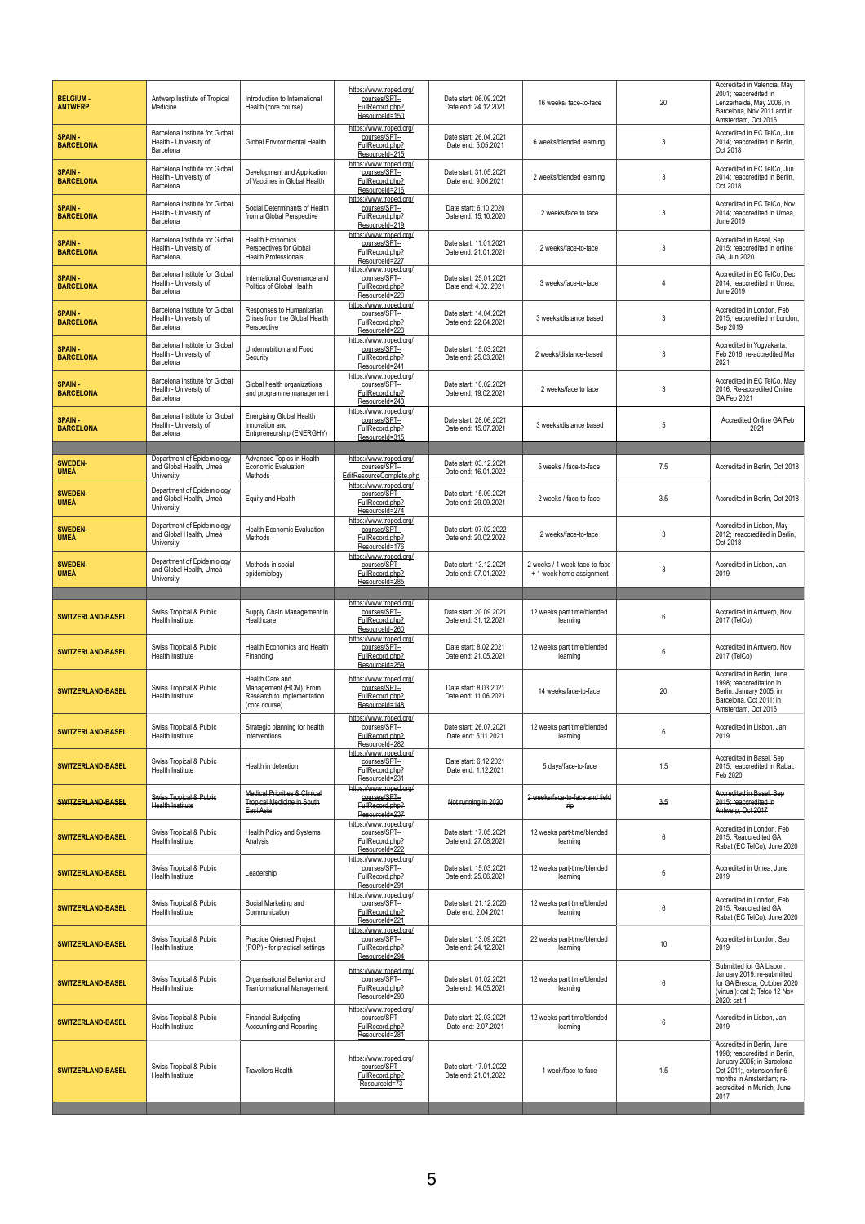| <b>BELGIUM</b><br><b>ANTWERP</b> | Antwerp Institute of Tropical<br>Medicine                             | Introduction to International<br>Health (core course)                                      | https://www.troped.org/<br>courses/SPT--<br>FullRecord.php?<br>ResourceId=150                   | Date start: 06.09.2021<br>Date end: 24.12.2021 | 16 weeks/ face-to-face                                    | 20              | Accredited in Valencia, May<br>2001; reaccredited in<br>Lenzerheide, May 2006, in<br>Barcelona, Nov 2011 and in<br>Amsterdam, Oct 2016                                                   |
|----------------------------------|-----------------------------------------------------------------------|--------------------------------------------------------------------------------------------|-------------------------------------------------------------------------------------------------|------------------------------------------------|-----------------------------------------------------------|-----------------|------------------------------------------------------------------------------------------------------------------------------------------------------------------------------------------|
| <b>SPAIN</b><br><b>BARCELONA</b> | Barcelona Institute for Global<br>Health - University of<br>Barcelona | Global Environmental Health                                                                | https://www.troped.org/<br>courses/SPT--<br>FullRecord.php?<br>ResourceId=215                   | Date start: 26.04.2021<br>Date end: 5.05.2021  | 6 weeks/blended learning                                  | 3               | Accredited in EC TelCo, Jun<br>2014; reaccredited in Berlin,<br>Oct 2018                                                                                                                 |
| <b>SPAIN</b><br><b>BARCELONA</b> | Barcelona Institute for Global<br>Health - University of<br>Barcelona | Development and Application<br>of Vaccines in Global Health                                | https://www.troped.org/<br>courses/SPT-<br>FullRecord.php?<br>ResourceId=216                    | Date start: 31.05.2021<br>Date end: 9.06.2021  | 2 weeks/blended learning                                  | 3               | Accredited in EC TelCo, Jun<br>2014; reaccredited in Berlin,<br>Oct 2018                                                                                                                 |
| <b>SPAIN</b><br><b>BARCELONA</b> | Barcelona Institute for Global<br>Health - University of<br>Barcelona | Social Determinants of Health<br>from a Global Perspective                                 | https://www.troped.org/<br>courses/SPT--<br>FullRecord.php?<br>ResourceId=219                   | Date start: 6.10.2020<br>Date end: 15.10.2020  | 2 weeks/face to face                                      | 3               | Accredited in EC TelCo, Nov<br>2014: reaccredited in Umea.<br>June 2019                                                                                                                  |
| <b>SPAIN</b><br><b>BARCELONA</b> | Barcelona Institute for Global<br>Health - University of<br>Barcelona | <b>Health Economics</b><br>Perspectives for Global<br><b>Health Professionals</b>          | https://www.troped.org/<br>courses/SPT-<br>FullRecord.php?<br>ResourceId=227                    | Date start: 11.01.2021<br>Date end: 21.01.2021 | 2 weeks/face-to-face                                      | 3               | Accredited in Basel, Sep<br>2015; reaccredited in online<br>GA, Jun 2020                                                                                                                 |
| <b>SPAIN</b><br><b>BARCELONA</b> | Barcelona Institute for Global<br>Health - University of<br>Barcelona | International Governance and<br>Politics of Global Health                                  | https://www.troped.org/<br>courses/SPT--<br>FullRecord.php?<br>ResourceId=220                   | Date start: 25.01.2021<br>Date end: 4.02. 2021 | 3 weeks/face-to-face                                      | 4               | Accredited in EC TelCo, Dec<br>2014; reaccredited in Umea,<br><b>June 2019</b>                                                                                                           |
| <b>SPAIN</b><br><b>BARCELONA</b> | Barcelona Institute for Global<br>Health - University of<br>Barcelona | Responses to Humanitarian<br>Crises from the Global Health<br>Perspective                  | https://www.troped.org/<br>courses/SPT--<br>FullRecord.php?<br>ResourceId=223                   | Date start: 14.04.2021<br>Date end: 22.04.2021 | 3 weeks/distance based                                    | 3               | Accredited in London, Feb<br>2015; reaccredited in London,<br>Sep 2019                                                                                                                   |
| <b>SPAIN</b><br><b>BARCELONA</b> | Barcelona Institute for Global<br>Health - University of<br>Barcelona | Undernutrition and Food<br>Security                                                        | https://www.troped.org/<br>courses/SPT-<br>FullRecord.php?<br>ResourceId=241                    | Date start: 15.03.2021<br>Date end: 25.03.2021 | 2 weeks/distance-based                                    | 3               | Accredited in Yogyakarta,<br>Feb 2016; re-accredited Mar<br>2021                                                                                                                         |
| <b>SPAIN</b><br><b>BARCELONA</b> | Barcelona Institute for Global<br>Health - University of<br>Barcelona | Global health organizations<br>and programme management                                    | https://www.troped.ora/<br>courses/SPT-<br>FullRecord.php?<br>ResourceId=243                    | Date start: 10.02.2021<br>Date end: 19.02.2021 | 2 weeks/face to face                                      | 3               | Accredited in EC TelCo, May<br>2016, Re-accredited Online<br>GA Feb 2021                                                                                                                 |
| <b>SPAIN</b><br><b>BARCELONA</b> | Barcelona Institute for Global<br>Health - University of<br>Barcelona | <b>Energising Global Health</b><br>Innovation and<br>Entrpreneurship (ENERGHY)             | https://www.troped.ora/<br>courses/SPT-<br>FullRecord.php?<br>ResourceId=315                    | Date start: 28.06.2021<br>Date end: 15.07.2021 | 3 weeks/distance based                                    | 5               | Accredited Online GA Feb<br>2021                                                                                                                                                         |
|                                  |                                                                       |                                                                                            |                                                                                                 |                                                |                                                           |                 |                                                                                                                                                                                          |
| <b>SWEDEN</b><br><b>UMEÅ</b>     | Department of Epidemiology<br>and Global Health, Umeå<br>University   | Advanced Topics in Health<br>Economic Evaluation<br>Methods                                | https://www.troped.org/<br>courses/SPT--<br>EditResourceComplete.php<br>https://www.troped.org/ | Date start: 03.12.2021<br>Date end: 16.01.2022 | 5 weeks / face-to-face                                    | 7.5             | Accredited in Berlin, Oct 2018                                                                                                                                                           |
| <b>SWEDEN</b><br><b>UMEÅ</b>     | Department of Epidemiology<br>and Global Health, Umeå<br>University   | Equity and Health                                                                          | courses/SPT--<br>FullRecord.php?<br>ResourceId=274                                              | Date start: 15.09.2021<br>Date end: 29.09.2021 | 2 weeks / face-to-face                                    | 3.5             | Accredited in Berlin, Oct 2018                                                                                                                                                           |
| <b>SWEDEN-</b><br><b>UMEÅ</b>    | Department of Epidemiology<br>and Global Health, Umeå<br>University   | <b>Health Economic Evaluation</b><br>Methods                                               | https://www.troped.org/<br>courses/SPT-<br>FullRecord.php?<br>ResourceId=176                    | Date start: 07.02.2022<br>Date end: 20.02.2022 | 2 weeks/face-to-face                                      | 3               | Accredited in Lisbon, May<br>2012; reaccredited in Berlin,<br>Oct 2018                                                                                                                   |
| <b>SWEDEN</b><br><b>UMEÅ</b>     | Department of Epidemiology<br>and Global Health, Umeå<br>University   | Methods in social<br>epidemiology                                                          | https://www.troped.org/<br>courses/SPT-<br>FullRecord.php?<br>ResourceId=285                    | Date start: 13.12.2021<br>Date end: 07.01.2022 | 2 weeks / 1 week face-to-face<br>+ 1 week home assignment | 3               | Accredited in Lisbon, Jan<br>2019                                                                                                                                                        |
|                                  |                                                                       |                                                                                            | https://www.troped.org/                                                                         |                                                |                                                           |                 |                                                                                                                                                                                          |
| <b>SWITZERLAND-BASEL</b>         | Swiss Tropical & Public<br>Health Institute                           | Supply Chain Management in<br>Healthcare                                                   | courses/SPT--<br>FullRecord.php?<br>ResourceId=260                                              | Date start: 20.09.2021<br>Date end: 31.12.2021 | 12 weeks part time/blended<br>learning                    | 6               | Accredited in Antwerp, Nov<br>2017 (TelCo)                                                                                                                                               |
| <b>SWITZERLAND-BASEL</b>         | Swiss Tropical & Public<br>Health Institute                           | <b>Health Economics and Health</b><br>Financing                                            | https://www.troped.org/<br>courses/SPT-<br>FullRecord.php?<br>ResourceId=259                    | Date start: 8.02.2021<br>Date end: 21.05.2021  | 12 weeks part time/blended<br>learning                    | 6               | Accredited in Antwerp, Nov<br>2017 (TelCo)                                                                                                                                               |
| <b>SWITZERLAND-BASEL</b>         | Swiss Tropical & Public<br>Health Institute                           | Health Care and<br>Management (HCM). From<br>Research to Implementation<br>(core course)   | https://www.troped.org/<br>courses/SPT--<br>FullRecord.php?<br>ResourceId=148                   | Date start: 8.03.2021<br>Date end: 11.06.2021  | 14 weeks/face-to-face                                     | 20              | Accredited in Berlin, June<br>1998: reaccreditation in<br>Berlin, January 2005: in<br>Barcelona, Oct 2011; in<br>Amsterdam, Oct 2016                                                     |
| <b>SWITZERLAND-BASEL</b>         | Swiss Tropical & Public<br>Health Institute                           | Strategic planning for health<br>interventions                                             | https://www.troped.org/<br>courses/SPT--<br>FullRecord.php?<br>ResourceId=282                   | Date start: 26.07.2021<br>Date end: 5.11.2021  | 12 weeks part time/blended<br>learning                    | 6               | Accredited in Lisbon, Jan<br>2019                                                                                                                                                        |
| <b>SWITZERLAND-BASEL</b>         | Swiss Tropical & Public<br>Health Institute                           | Health in detention                                                                        | https://www.troped.org/<br>courses/SPT--<br>FullRecord.php?<br>ResourceId=231                   | Date start: 6.12.2021<br>Date end: 1.12.2021   | 5 days/face-to-face                                       | 1.5             | Accredited in Basel, Sep<br>2015; reaccredited in Rabat,<br>Feb 2020                                                                                                                     |
| <b>SWITZERLAND-BASEL</b>         | Swiss Tropical & Public<br><b>Health Institute</b>                    | <b>Medical Priorities &amp; Clinical</b><br><b>Tropical Medicine in South</b><br>East Asia | https://www.troped.org/<br>courses/SPT-<br>FullRecord.php?<br>ResourceId=237                    | Not running in 2020                            | 2 weeks/face-to-face and field<br>trip                    | 3,5             | Accredited in Basel, Sep<br>2015; reaccredited in<br>Antwerp, Oct 2017                                                                                                                   |
| <b>SWITZERLAND-BASEL</b>         | Swiss Tropical & Public<br>Health Institute                           | Health Policy and Systems<br>Analysis                                                      | https://www.troped.org/<br>courses/SPT--<br>FullRecord.php?<br>ResourceId=222                   | Date start: 17.05.2021<br>Date end: 27.08.2021 | 12 weeks part-time/blended<br>learning                    | 6               | Accredited in London, Feb<br>2015. Reaccredited GA<br>Rabat (EC TelCo), June 2020                                                                                                        |
| <b>SWITZERLAND-BASEL</b>         | Swiss Tropical & Public<br>Health Institute                           | Leadership                                                                                 | https://www.troped.org/<br>courses/SPT--<br>FullRecord.php?<br>ResourceId=291                   | Date start: 15.03.2021<br>Date end: 25.06.2021 | 12 weeks part-time/blended<br>learning                    | 6               | Accredited in Umea, June<br>2019                                                                                                                                                         |
| <b>SWITZERLAND-BASEL</b>         | Swiss Tropical & Public<br><b>Health Institute</b>                    | Social Marketing and<br>Communication                                                      | https://www.troped.org/<br>courses/SPT-<br>FullRecord.php?<br>ResourceId=221                    | Date start: 21.12.2020<br>Date end: 2.04.2021  | 12 weeks part time/blended<br>learning                    | 6               | Accredited in London, Feb<br>2015. Reaccredited GA<br>Rabat (EC TelCo), June 2020                                                                                                        |
| <b>SWITZERLAND-BASEL</b>         | Swiss Tropical & Public<br>Health Institute                           | Practice Oriented Project<br>(POP) - for practical settings                                | https://www.troped.org/<br>courses/SPT-<br>FullRecord.php?<br>ResourceId=294                    | Date start: 13.09.2021<br>Date end: 24.12.2021 | 22 weeks part-time/blended<br>learning                    | 10 <sup>°</sup> | Accredited in London, Sep<br>2019                                                                                                                                                        |
| <b>SWITZERLAND-BASEL</b>         | Swiss Tropical & Public<br>Health Institute                           | Organisational Behavior and<br><b>Tranformational Management</b>                           | https://www.troped.org/<br>courses/SPT-<br>FullRecord.php?<br>ResourceId=290                    | Date start: 01.02.2021<br>Date end: 14.05.2021 | 12 weeks part time/blended<br>learning                    | 6               | Submitted for GA Lisbon.<br>January 2019: re-submitted<br>for GA Brescia, October 2020<br>(virtual): cat 2; Telco 12 Nov<br>2020: cat 1                                                  |
| <b>SWITZERLAND-BASEL</b>         | Swiss Tropical & Public<br>Health Institute                           | <b>Financial Budgeting</b><br>Accounting and Reporting                                     | https://www.troped.org/<br>courses/SPT-<br>FullRecord.php?<br>ResourceId=281                    | Date start: 22.03.2021<br>Date end: 2.07.2021  | 12 weeks part time/blended<br>learning                    | 6               | Accredited in Lisbon, Jan<br>2019                                                                                                                                                        |
| <b>SWITZERLAND-BASEL</b>         | Swiss Tropical & Public<br>Health Institute                           | <b>Travellers Health</b>                                                                   | https://www.troped.org/<br>courses/SPT-<br>FullRecord.php?<br>ResourceId=73                     | Date start: 17.01.2022<br>Date end: 21.01.2022 | 1 week/face-to-face                                       | 1.5             | Accredited in Berlin, June<br>1998; reaccredited in Berlin,<br>January 2005; in Barcelona<br>Oct 2011; extension for 6<br>months in Amsterdam; re-<br>accredited in Munich, June<br>2017 |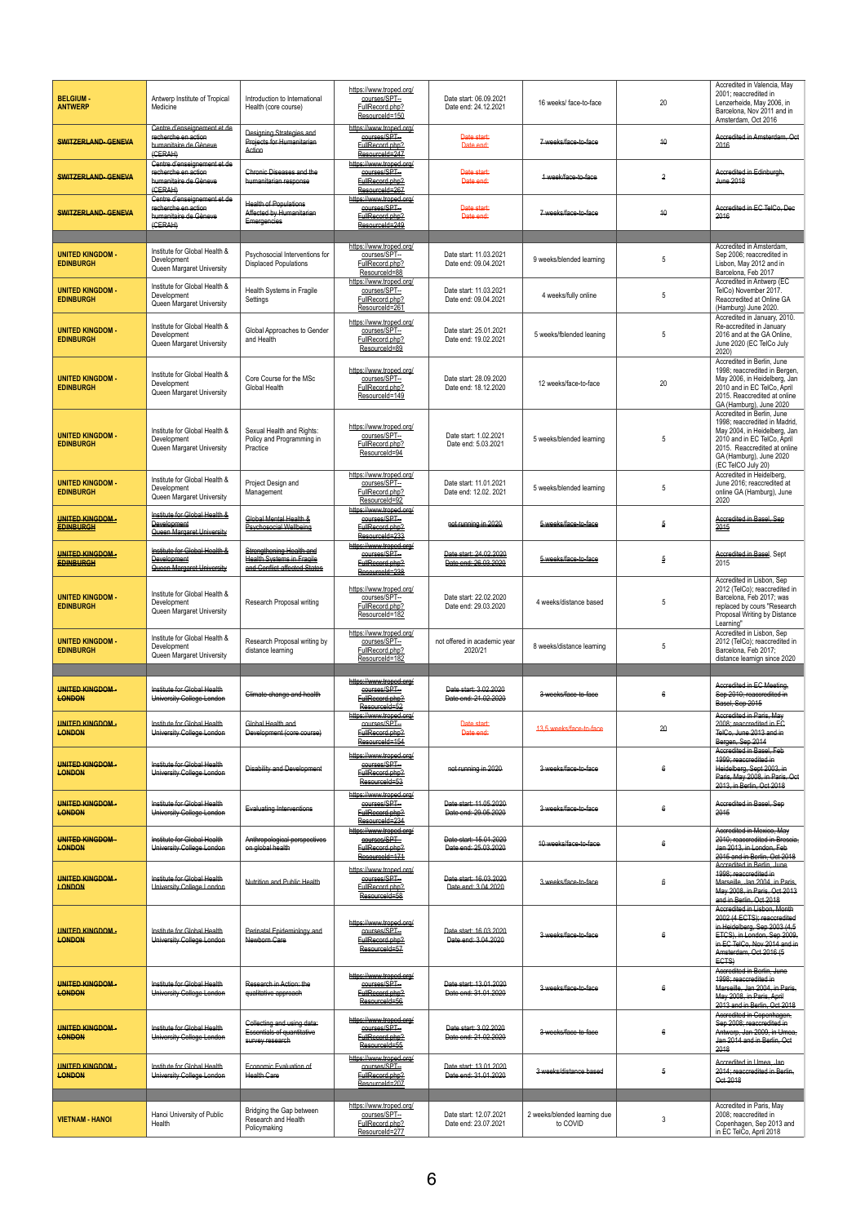| Amsterdam, Oct 2016<br>https://www.troped.org/<br>Centre d'enseignement et de<br>Designing Strategies and<br>courses/SPT-<br>recherche en action<br>Date start:<br>Accredited in Amsterdam, Oct<br>Projects for Humanitarian<br>40<br>7 weeks/face-to-face<br><b>SWITZERLAND-GENEVA</b><br>FullRecord.php?<br>humanitaire de Gèneve<br>Date end:<br>2016<br>Action<br>(CERAH)<br>ResourceId=247<br>Centre d'enseignement et de<br>https://www.troped.org/<br>courses/SPT-<br>recherche en action<br>Chronic Diseases and the<br>Accredited in Edinburgh,<br>Date start:<br><b>SWITZERLAND-GENEVA</b><br>1 week/face-to-face<br>$\overline{2}$<br>humanitaire de Gèneve<br>FullRecord.php?<br>Date end:<br><b>June 2018</b><br>humanitarian response<br>ResourceId=267<br>(GERAH)<br>Centre d'enseignement et de<br>https://www.troped.org/<br><b>Health of Populations</b><br>courses/SPT-<br>Accredited in EC TelCo, Dec<br>recherche en action<br>Date start:<br><b>SWITZERLAND-GENEVA</b><br>7 weeks/face-to-face<br>40<br>Affected by Humanitarian<br>2016<br>humanitaire de Gèneve<br>FullRecord.php?<br>Date end:<br>Emergencies<br>ResourceId=249<br>(CERAH)<br>https://www.troped.org/<br>Accredited in Amsterdam,<br>Institute for Global Health &<br><b>UNITED KINGDOM -</b><br>Psychosocial Interventions for<br>courses/SPT-<br>Date start: 11.03.2021<br>Sep 2006; reaccredited in<br>5<br>Development<br>9 weeks/blended learning<br><b>EDINBURGH</b><br><b>Displaced Populations</b><br>FullRecord.php?<br>Lisbon, May 2012 and in<br>Date end: 09.04.2021<br>Queen Margaret University<br>ResourceId=88<br>Barcelona, Feb 2017<br>Accredited in Antwerp (EC<br>https://www.troped.org/<br>Institute for Global Health &<br><b>UNITED KINGDOM -</b><br>Health Systems in Fragile<br>courses/SPT--<br>Date start: 11.03.2021<br>TelCo) November 2017.<br>4 weeks/fully online<br>5<br>Development<br><b>EDINBURGH</b><br>FullRecord.php?<br>Date end: 09.04.2021<br>Reaccredited at Online GA<br>Settings<br>Queen Margaret University<br>ResourceId=261<br>(Hamburg) June 2020.<br>Accredited in January, 2010.<br>https://www.troped.org/<br>Institute for Global Health &<br>Re-accredited in January<br>courses/SPT-<br><b>UNITED KINGDOM -</b><br>Global Approaches to Gender<br>Date start: 25.01.2021<br>5<br>5 weeks/fblended leaning<br>2016 and at the GA Online.<br>Development<br><b>EDINBURGH</b><br>and Health<br>FullRecord.php?<br>Date end: 19.02.2021<br>June 2020 (EC TelCo July<br>Queen Margaret University<br>ResourceId=89<br>2020)<br>Accredited in Berlin, June<br>https://www.troped.org/<br>1998; reaccredited in Bergen,<br>Institute for Global Health &<br>courses/SPT-<br>Date start: 28.09.2020<br><b>UNITED KINGDOM -</b><br>Core Course for the MSc<br>May 2006, in Heidelberg, Jan<br>20<br>12 weeks/face-to-face<br>Development<br><b>EDINBURGH</b><br>Global Health<br>FullRecord.php?<br>2010 and in EC TelCo, April<br>Date end: 18.12.2020<br>Queen Margaret University<br>ResourceId=149<br>2015. Reaccredited at online<br>GA (Hamburg), June 2020<br>Accredited in Berlin, June<br>1998: reaccredited in Madrid.<br>https://www.troped.org/<br>Institute for Global Health &<br>Sexual Health and Rights:<br>May 2004, in Heidelberg, Jan<br><b>UNITED KINGDOM -</b><br>courses/SPT--<br>Date start: 1.02.2021<br>Policy and Programming in<br>5<br>2010 and in EC TelCo, April<br>Development<br>5 weeks/blended learning<br><b>EDINBURGH</b><br>FullRecord.php?<br>Date end: 5.03.2021<br>2015. Reaccredited at online<br>Queen Margaret University<br>Practice<br>ResourceId=94<br>GA (Hamburg), June 2020<br>(EC TelCO July 20)<br>Accredited in Heidelberg,<br>https://www.troped.org/<br>Institute for Global Health &<br>courses/SPT-<br><b>UNITED KINGDOM -</b><br>Project Design and<br>Date start: 11.01.2021<br>June 2016; reaccredited at<br>5<br>5 weeks/blended learning<br>Development<br><b>EDINBURGH</b><br>FullRecord.php?<br>Date end: 12.02, 2021<br>online GA (Hamburg), June<br>Management<br>Queen Margaret University<br>2020<br>ResourceId=92<br><u> https://www.troped.orq/</u><br>Institute for Global Health &<br><b>UNITED KINGDOM-</b><br>Global Mental Health &<br>courses/SPT--<br>Accredited in Basel, Sep<br><b>Development</b><br>not running in 2020<br>5 weeks/face-to-face<br>5<br><b>Psychosocial Wellbeing</b><br>FullRecord.php?<br>2015<br><b>EDINBURGH</b><br><b>Queen Margaret University</b><br>ResourceId=233<br>https://www.troped.org/<br>Institute for Global Health &<br>Strengthening Health and<br>courses/SPT-<br>Date start: 24.02.2020<br>Accredited in Basel, Sept<br><b>UNITED KINGDOM-</b><br><b>Health Systems in Fragile</b><br>$\overline{5}$<br>Development<br>5 weeks/face-to-face<br>FullRecord.php?<br>Date end: 26.03.2020<br><b>EDINBURGH</b><br>2015<br>and Conflict-affected States<br><b>Queen Margaret University</b><br>ResourceId=238<br>Accredited in Lisbon, Sep<br>2012 (TelCo); reaccredited in<br>https://www.troped.org/<br>Institute for Global Health &<br><b>UNITED KINGDOM -</b><br>courses/SPT--<br>Date start: 22.02.2020<br>Barcelona, Feb 2017; was<br>Research Proposal writing<br>4 weeks/distance based<br>5<br>Development<br>FullRecord.php?<br>Date end: 29.03.2020<br><b>EDINBURGH</b><br>replaced by cours "Research<br>Queen Margaret University<br>ResourceId=182<br>Proposal Writing by Distance<br>Learning"<br>Accredited in Lisbon, Sep<br>https://www.troped.org/<br>Institute for Global Health &<br><b>UNITED KINGDOM -</b><br>Research Proposal writing by<br>courses/SPT-<br>2012 (TelCo); reaccredited in<br>not offered in academic year<br>5<br>Development<br>8 weeks/distance learning<br><b>EDINBURGH</b><br>FullRecord.php?<br>Barcelona, Feb 2017;<br>2020/21<br>distance learning<br>Queen Margaret University<br>ResourceId=182<br>distance learnign since 2020<br>https://www.troped.org/<br>Accredited in EC Meeting.<br>courses/SPT-<br><b>UNITED KINGDOM-</b><br>Institute for Global Health<br>Date start: 3.02.2020<br>3 weeks/face-to-face<br>6<br>Sep 2010; reaccredited in<br>Climate change and health<br>FullRecord.php?<br>Date end: 21.02.2020<br><b>LONDON</b><br>University College London<br>Basel, Sep 2015<br>ResourceId=52<br>Accredited in Paris, May<br>https://www.troped.org/<br><b>UNITED KINGDOM-</b><br>Institute for Global Health<br>Global Health and<br>courses/SPT-<br>2008; reaccredited in EC<br>Date start:<br>13.5 weeks/face-to-face<br>20<br>FullRecord.php?<br>Date end:<br>TelCo. June 2013 and in<br><b>LONDON</b><br>University College London<br>Development (core course)<br>ResourceId=154<br>Bergen, Sep 2014<br>Accredited in Basel, Feb<br>https://www.troped.org/<br>1999: reaccredited in<br><b>UNITED KINGDOM-</b><br>Institute for Global Health<br>courses/SPT-<br>3 weeks/face-to-face<br>6<br>Heidelberg, Sept 2003, in<br><b>Disability and Development</b><br>not running in 2020<br>FullRecord.php?<br><b>LONDON</b><br>University College London<br>Paris, May 2008, in Paris, Oct<br>ResourceId=53<br>2013. in Berlin. Oct 2018<br>https://www.troped.ora/<br><b>UNITED KINGDOM-</b><br>Institute for Global Health<br>courses/SPT--<br>Accredited in Basel, Sep<br>Date start: 11.05.2020<br>3 weeks/face-to-face<br>6<br><b>Evaluating Interventions</b><br>FullRecord.php?<br>Date end: 29.05.2020<br>2015<br><b>LONDON</b><br>University College London<br>ResourceId=234<br>https://www.troped.org/<br>Accredited in Mexico, May<br>courses/SPT-<br><b>UNITED KINGDOM-</b><br>Institute for Global Health<br>2010: reaccredited in Brescia.<br>Anthropological perspectives<br>Date start: 15.01.2020<br>6<br>10 weeks/face-to-face<br>FullRecord.php?<br>Jan 2013, in London, Feb<br><b>LONDON</b><br>University College London<br>on global health<br>Date end: 25.03.2020<br>ResourceId=171<br>2015 and in Berlin. Oct 2018<br>Accredited in Berlin, June<br>https://www.troped.org/<br>1998; reaccredited in<br><b>UNITED KINGDOM-</b><br>Institute for Global Health<br>courses/SPT-<br>Date start: 16.03.2020<br>3 weeks/face-to-face<br>6<br><b>Nutrition and Public Health</b><br>Marseille, Jan 2004, in Paris,<br>FullRecord.php?<br><b>LONDON</b><br>University College London<br>Date end: 3.04.2020<br>May 2008, in Paris, Oct 2013<br>ResourceId=58<br>and in Berlin, Oct 2018<br>Accredited in Lisbon, Month<br>2002 (4 ECTS); reaccredited<br>https://www.troped.org/<br>in Heidelberg, Sep 2003 (4,5<br><b>UNITED KINGDOM-</b><br>Institute for Global Health<br>Perinatal Epidemiology and<br>courses/SPT-<br>Date start: 16.03.2020<br>ETCS), in London, Sep 2009,<br>3 weeks/face-to-face<br>6<br><u>London</u><br>University College London<br>Newborn Care<br><b>FullRecord.php?</b><br>Date end: 3.04.2020<br>in EC TelCo, Nov 2014 and in<br>ResourceId=57<br>Amsterdam, Oct 2016 (5<br>ECTS)<br>Accredited in Berlin, June<br>https://www.troped.org/<br>1998: reaccredited in<br><b>UNITED KINGDOM-</b><br>Institute for Global Health<br>Research in Action: the<br>courses/SPT-<br>Date start: 13.01.2020<br>3 weeks/face-to-face<br>6<br>Marseille, Jan 2004, in Paris.<br>FullRecord.php?<br><b>LONDON</b><br>University College London<br>Date end: 31.01.2020<br>qualitative approach<br>May 2008, in Paris, April<br>ResourceId=56<br>2013 and in Berlin. Oct 2018<br>Accredited in Copenhagen,<br>https://www.troped.ora/<br>Sep 2008; reaccredited in<br>Collecting and using data:<br>courses/SPT-<br><b>UNITED KINGDOM-</b><br>Institute for Global Health<br>Date start: 3.02.2020<br>Essentials of quantitative<br>3 weeks/face-to-face<br>6<br>Antwerp, Jan 2009, in Umea,<br>FullRecord.php?<br><b>LONDON</b><br>University College London<br>Date end: 21.02.2020<br>Jan 2014 and in Berlin, Oct<br>survey research<br>ResourceId=55<br>2018<br>https://www.troped.org/<br>Accredited in Umea, Jan<br>courses/SPT-<br><b>UNITED KINGDOM-</b><br>Institute for Global Health<br>Economic Evaluation of<br>Date start: 13.01.2020<br>2014; reaccredited in Berlin,<br>5<br>3 weeks/distance based<br><b>FullRecord.php?</b><br>Date end: 31.01.2020<br><b>LONDON</b><br>University College London<br>Health Care<br>Oct 2018<br>ResourceId=207<br>Accredited in Paris, May<br>https://www.troped.org/<br>Bridging the Gap between<br>courses/SPT-<br>Hanoi University of Public<br>Date start: 12.07.2021<br>2008: reaccredited in<br>2 weeks/blended learning due<br>Research and Health<br>3<br><b>VIETNAM - HANOI</b><br>Health<br>Date end: 23.07.2021<br>to COVID | <b>BELGIUM-</b><br><b>ANTWERP</b> | Antwerp Institute of Tropical<br>Medicine | Introduction to International<br>Health (core course) | https://www.troped.org/<br>courses/SPT-<br>FullRecord.php?<br>ResourceId=150 | Date start: 06.09.2021<br>Date end: 24.12.2021 | 16 weeks/face-to-face | 20 | Accredited in Valencia. May<br>2001; reaccredited in<br>Lenzerheide, May 2006, in<br>Barcelona, Nov 2011 and in |
|-------------------------------------------------------------------------------------------------------------------------------------------------------------------------------------------------------------------------------------------------------------------------------------------------------------------------------------------------------------------------------------------------------------------------------------------------------------------------------------------------------------------------------------------------------------------------------------------------------------------------------------------------------------------------------------------------------------------------------------------------------------------------------------------------------------------------------------------------------------------------------------------------------------------------------------------------------------------------------------------------------------------------------------------------------------------------------------------------------------------------------------------------------------------------------------------------------------------------------------------------------------------------------------------------------------------------------------------------------------------------------------------------------------------------------------------------------------------------------------------------------------------------------------------------------------------------------------------------------------------------------------------------------------------------------------------------------------------------------------------------------------------------------------------------------------------------------------------------------------------------------------------------------------------------------------------------------------------------------------------------------------------------------------------------------------------------------------------------------------------------------------------------------------------------------------------------------------------------------------------------------------------------------------------------------------------------------------------------------------------------------------------------------------------------------------------------------------------------------------------------------------------------------------------------------------------------------------------------------------------------------------------------------------------------------------------------------------------------------------------------------------------------------------------------------------------------------------------------------------------------------------------------------------------------------------------------------------------------------------------------------------------------------------------------------------------------------------------------------------------------------------------------------------------------------------------------------------------------------------------------------------------------------------------------------------------------------------------------------------------------------------------------------------------------------------------------------------------------------------------------------------------------------------------------------------------------------------------------------------------------------------------------------------------------------------------------------------------------------------------------------------------------------------------------------------------------------------------------------------------------------------------------------------------------------------------------------------------------------------------------------------------------------------------------------------------------------------------------------------------------------------------------------------------------------------------------------------------------------------------------------------------------------------------------------------------------------------------------------------------------------------------------------------------------------------------------------------------------------------------------------------------------------------------------------------------------------------------------------------------------------------------------------------------------------------------------------------------------------------------------------------------------------------------------------------------------------------------------------------------------------------------------------------------------------------------------------------------------------------------------------------------------------------------------------------------------------------------------------------------------------------------------------------------------------------------------------------------------------------------------------------------------------------------------------------------------------------------------------------------------------------------------------------------------------------------------------------------------------------------------------------------------------------------------------------------------------------------------------------------------------------------------------------------------------------------------------------------------------------------------------------------------------------------------------------------------------------------------------------------------------------------------------------------------------------------------------------------------------------------------------------------------------------------------------------------------------------------------------------------------------------------------------------------------------------------------------------------------------------------------------------------------------------------------------------------------------------------------------------------------------------------------------------------------------------------------------------------------------------------------------------------------------------------------------------------------------------------------------------------------------------------------------------------------------------------------------------------------------------------------------------------------------------------------------------------------------------------------------------------------------------------------------------------------------------------------------------------------------------------------------------------------------------------------------------------------------------------------------------------------------------------------------------------------------------------------------------------------------------------------------------------------------------------------------------------------------------------------------------------------------------------------------------------------------------------------------------------------------------------------------------------------------------------------------------------------------------------------------------------------------------------------------------------------------------------------------------------------------------------------------------------------------------------------------------------------------------------------------------------------------------------------------------------------------------------------------------------------------------------------------------------------------------------------------------------------------------------------------------------------------------------------------------------------------------------------------------------------------------------------------------------------------------------------------------------------------------------------------------------------------------------------------------------------------------------------------------------------------------------------------------------------------------------------------------------------------------------------------------------------------------------------------------------------------------------------------------------------------------------------------------------------------------------------------------------------------------------------------------------------------------------------------------------------------------------------------------------------------------------------------------------------------------------------------------------------------------------------------------------------------------------------------------------------------------------------------------------------------------------------------------------------------------------------------------------------------------------------------------------------------------------------------------------------------------------------------------------------------------------------------------------------------------------------------------------------------------------------------------------------------------------------------------------------------------------------------------------------------------------------------------------------------------------------------------------------------------------------------------------------------------------------------------------------------------------------------------------------------------------------------------------------------------------------------------------------------------------------------------------------------------------------------------------------------------------------------------------------------------------------------------------------------------------------------------------------------------------------------------------------------------------------------------------------------------------------------------------------------------------------------------------------------------------------------------------------------------------------------------------------------------------------------------|-----------------------------------|-------------------------------------------|-------------------------------------------------------|------------------------------------------------------------------------------|------------------------------------------------|-----------------------|----|-----------------------------------------------------------------------------------------------------------------|
|                                                                                                                                                                                                                                                                                                                                                                                                                                                                                                                                                                                                                                                                                                                                                                                                                                                                                                                                                                                                                                                                                                                                                                                                                                                                                                                                                                                                                                                                                                                                                                                                                                                                                                                                                                                                                                                                                                                                                                                                                                                                                                                                                                                                                                                                                                                                                                                                                                                                                                                                                                                                                                                                                                                                                                                                                                                                                                                                                                                                                                                                                                                                                                                                                                                                                                                                                                                                                                                                                                                                                                                                                                                                                                                                                                                                                                                                                                                                                                                                                                                                                                                                                                                                                                                                                                                                                                                                                                                                                                                                                                                                                                                                                                                                                                                                                                                                                                                                                                                                                                                                                                                                                                                                                                                                                                                                                                                                                                                                                                                                                                                                                                                                                                                                                                                                                                                                                                                                                                                                                                                                                                                                                                                                                                                                                                                                                                                                                                                                                                                                                                                                                                                                                                                                                                                                                                                                                                                                                                                                                                                                                                                                                                                                                                                                                                                                                                                                                                                                                                                                                                                                                                                                                                                                                                                                                                                                                                                                                                                                                                                                                                                                                                                                                                                                                                                                                                                                                                                                                                                                                                                                                                                                                                                                                                                                                                                                                                                                                                                                                                                                                                                                                                                                                                                                                                                                                                                                                                                                                                                                                                                                                                                                                                                                                                                                                                                                                                                                                                                                                                                                                                                                                                                                                                                                                                                                                                                                                                                                                                                                                                                                                                                             |                                   |                                           |                                                       |                                                                              |                                                |                       |    |                                                                                                                 |
|                                                                                                                                                                                                                                                                                                                                                                                                                                                                                                                                                                                                                                                                                                                                                                                                                                                                                                                                                                                                                                                                                                                                                                                                                                                                                                                                                                                                                                                                                                                                                                                                                                                                                                                                                                                                                                                                                                                                                                                                                                                                                                                                                                                                                                                                                                                                                                                                                                                                                                                                                                                                                                                                                                                                                                                                                                                                                                                                                                                                                                                                                                                                                                                                                                                                                                                                                                                                                                                                                                                                                                                                                                                                                                                                                                                                                                                                                                                                                                                                                                                                                                                                                                                                                                                                                                                                                                                                                                                                                                                                                                                                                                                                                                                                                                                                                                                                                                                                                                                                                                                                                                                                                                                                                                                                                                                                                                                                                                                                                                                                                                                                                                                                                                                                                                                                                                                                                                                                                                                                                                                                                                                                                                                                                                                                                                                                                                                                                                                                                                                                                                                                                                                                                                                                                                                                                                                                                                                                                                                                                                                                                                                                                                                                                                                                                                                                                                                                                                                                                                                                                                                                                                                                                                                                                                                                                                                                                                                                                                                                                                                                                                                                                                                                                                                                                                                                                                                                                                                                                                                                                                                                                                                                                                                                                                                                                                                                                                                                                                                                                                                                                                                                                                                                                                                                                                                                                                                                                                                                                                                                                                                                                                                                                                                                                                                                                                                                                                                                                                                                                                                                                                                                                                                                                                                                                                                                                                                                                                                                                                                                                                                                                                                             |                                   |                                           |                                                       |                                                                              |                                                |                       |    |                                                                                                                 |
|                                                                                                                                                                                                                                                                                                                                                                                                                                                                                                                                                                                                                                                                                                                                                                                                                                                                                                                                                                                                                                                                                                                                                                                                                                                                                                                                                                                                                                                                                                                                                                                                                                                                                                                                                                                                                                                                                                                                                                                                                                                                                                                                                                                                                                                                                                                                                                                                                                                                                                                                                                                                                                                                                                                                                                                                                                                                                                                                                                                                                                                                                                                                                                                                                                                                                                                                                                                                                                                                                                                                                                                                                                                                                                                                                                                                                                                                                                                                                                                                                                                                                                                                                                                                                                                                                                                                                                                                                                                                                                                                                                                                                                                                                                                                                                                                                                                                                                                                                                                                                                                                                                                                                                                                                                                                                                                                                                                                                                                                                                                                                                                                                                                                                                                                                                                                                                                                                                                                                                                                                                                                                                                                                                                                                                                                                                                                                                                                                                                                                                                                                                                                                                                                                                                                                                                                                                                                                                                                                                                                                                                                                                                                                                                                                                                                                                                                                                                                                                                                                                                                                                                                                                                                                                                                                                                                                                                                                                                                                                                                                                                                                                                                                                                                                                                                                                                                                                                                                                                                                                                                                                                                                                                                                                                                                                                                                                                                                                                                                                                                                                                                                                                                                                                                                                                                                                                                                                                                                                                                                                                                                                                                                                                                                                                                                                                                                                                                                                                                                                                                                                                                                                                                                                                                                                                                                                                                                                                                                                                                                                                                                                                                                                                             |                                   |                                           |                                                       |                                                                              |                                                |                       |    |                                                                                                                 |
|                                                                                                                                                                                                                                                                                                                                                                                                                                                                                                                                                                                                                                                                                                                                                                                                                                                                                                                                                                                                                                                                                                                                                                                                                                                                                                                                                                                                                                                                                                                                                                                                                                                                                                                                                                                                                                                                                                                                                                                                                                                                                                                                                                                                                                                                                                                                                                                                                                                                                                                                                                                                                                                                                                                                                                                                                                                                                                                                                                                                                                                                                                                                                                                                                                                                                                                                                                                                                                                                                                                                                                                                                                                                                                                                                                                                                                                                                                                                                                                                                                                                                                                                                                                                                                                                                                                                                                                                                                                                                                                                                                                                                                                                                                                                                                                                                                                                                                                                                                                                                                                                                                                                                                                                                                                                                                                                                                                                                                                                                                                                                                                                                                                                                                                                                                                                                                                                                                                                                                                                                                                                                                                                                                                                                                                                                                                                                                                                                                                                                                                                                                                                                                                                                                                                                                                                                                                                                                                                                                                                                                                                                                                                                                                                                                                                                                                                                                                                                                                                                                                                                                                                                                                                                                                                                                                                                                                                                                                                                                                                                                                                                                                                                                                                                                                                                                                                                                                                                                                                                                                                                                                                                                                                                                                                                                                                                                                                                                                                                                                                                                                                                                                                                                                                                                                                                                                                                                                                                                                                                                                                                                                                                                                                                                                                                                                                                                                                                                                                                                                                                                                                                                                                                                                                                                                                                                                                                                                                                                                                                                                                                                                                                                                             |                                   |                                           |                                                       |                                                                              |                                                |                       |    |                                                                                                                 |
|                                                                                                                                                                                                                                                                                                                                                                                                                                                                                                                                                                                                                                                                                                                                                                                                                                                                                                                                                                                                                                                                                                                                                                                                                                                                                                                                                                                                                                                                                                                                                                                                                                                                                                                                                                                                                                                                                                                                                                                                                                                                                                                                                                                                                                                                                                                                                                                                                                                                                                                                                                                                                                                                                                                                                                                                                                                                                                                                                                                                                                                                                                                                                                                                                                                                                                                                                                                                                                                                                                                                                                                                                                                                                                                                                                                                                                                                                                                                                                                                                                                                                                                                                                                                                                                                                                                                                                                                                                                                                                                                                                                                                                                                                                                                                                                                                                                                                                                                                                                                                                                                                                                                                                                                                                                                                                                                                                                                                                                                                                                                                                                                                                                                                                                                                                                                                                                                                                                                                                                                                                                                                                                                                                                                                                                                                                                                                                                                                                                                                                                                                                                                                                                                                                                                                                                                                                                                                                                                                                                                                                                                                                                                                                                                                                                                                                                                                                                                                                                                                                                                                                                                                                                                                                                                                                                                                                                                                                                                                                                                                                                                                                                                                                                                                                                                                                                                                                                                                                                                                                                                                                                                                                                                                                                                                                                                                                                                                                                                                                                                                                                                                                                                                                                                                                                                                                                                                                                                                                                                                                                                                                                                                                                                                                                                                                                                                                                                                                                                                                                                                                                                                                                                                                                                                                                                                                                                                                                                                                                                                                                                                                                                                                                             |                                   |                                           |                                                       |                                                                              |                                                |                       |    |                                                                                                                 |
|                                                                                                                                                                                                                                                                                                                                                                                                                                                                                                                                                                                                                                                                                                                                                                                                                                                                                                                                                                                                                                                                                                                                                                                                                                                                                                                                                                                                                                                                                                                                                                                                                                                                                                                                                                                                                                                                                                                                                                                                                                                                                                                                                                                                                                                                                                                                                                                                                                                                                                                                                                                                                                                                                                                                                                                                                                                                                                                                                                                                                                                                                                                                                                                                                                                                                                                                                                                                                                                                                                                                                                                                                                                                                                                                                                                                                                                                                                                                                                                                                                                                                                                                                                                                                                                                                                                                                                                                                                                                                                                                                                                                                                                                                                                                                                                                                                                                                                                                                                                                                                                                                                                                                                                                                                                                                                                                                                                                                                                                                                                                                                                                                                                                                                                                                                                                                                                                                                                                                                                                                                                                                                                                                                                                                                                                                                                                                                                                                                                                                                                                                                                                                                                                                                                                                                                                                                                                                                                                                                                                                                                                                                                                                                                                                                                                                                                                                                                                                                                                                                                                                                                                                                                                                                                                                                                                                                                                                                                                                                                                                                                                                                                                                                                                                                                                                                                                                                                                                                                                                                                                                                                                                                                                                                                                                                                                                                                                                                                                                                                                                                                                                                                                                                                                                                                                                                                                                                                                                                                                                                                                                                                                                                                                                                                                                                                                                                                                                                                                                                                                                                                                                                                                                                                                                                                                                                                                                                                                                                                                                                                                                                                                                                                             |                                   |                                           |                                                       |                                                                              |                                                |                       |    |                                                                                                                 |
|                                                                                                                                                                                                                                                                                                                                                                                                                                                                                                                                                                                                                                                                                                                                                                                                                                                                                                                                                                                                                                                                                                                                                                                                                                                                                                                                                                                                                                                                                                                                                                                                                                                                                                                                                                                                                                                                                                                                                                                                                                                                                                                                                                                                                                                                                                                                                                                                                                                                                                                                                                                                                                                                                                                                                                                                                                                                                                                                                                                                                                                                                                                                                                                                                                                                                                                                                                                                                                                                                                                                                                                                                                                                                                                                                                                                                                                                                                                                                                                                                                                                                                                                                                                                                                                                                                                                                                                                                                                                                                                                                                                                                                                                                                                                                                                                                                                                                                                                                                                                                                                                                                                                                                                                                                                                                                                                                                                                                                                                                                                                                                                                                                                                                                                                                                                                                                                                                                                                                                                                                                                                                                                                                                                                                                                                                                                                                                                                                                                                                                                                                                                                                                                                                                                                                                                                                                                                                                                                                                                                                                                                                                                                                                                                                                                                                                                                                                                                                                                                                                                                                                                                                                                                                                                                                                                                                                                                                                                                                                                                                                                                                                                                                                                                                                                                                                                                                                                                                                                                                                                                                                                                                                                                                                                                                                                                                                                                                                                                                                                                                                                                                                                                                                                                                                                                                                                                                                                                                                                                                                                                                                                                                                                                                                                                                                                                                                                                                                                                                                                                                                                                                                                                                                                                                                                                                                                                                                                                                                                                                                                                                                                                                                                             |                                   |                                           |                                                       |                                                                              |                                                |                       |    |                                                                                                                 |
|                                                                                                                                                                                                                                                                                                                                                                                                                                                                                                                                                                                                                                                                                                                                                                                                                                                                                                                                                                                                                                                                                                                                                                                                                                                                                                                                                                                                                                                                                                                                                                                                                                                                                                                                                                                                                                                                                                                                                                                                                                                                                                                                                                                                                                                                                                                                                                                                                                                                                                                                                                                                                                                                                                                                                                                                                                                                                                                                                                                                                                                                                                                                                                                                                                                                                                                                                                                                                                                                                                                                                                                                                                                                                                                                                                                                                                                                                                                                                                                                                                                                                                                                                                                                                                                                                                                                                                                                                                                                                                                                                                                                                                                                                                                                                                                                                                                                                                                                                                                                                                                                                                                                                                                                                                                                                                                                                                                                                                                                                                                                                                                                                                                                                                                                                                                                                                                                                                                                                                                                                                                                                                                                                                                                                                                                                                                                                                                                                                                                                                                                                                                                                                                                                                                                                                                                                                                                                                                                                                                                                                                                                                                                                                                                                                                                                                                                                                                                                                                                                                                                                                                                                                                                                                                                                                                                                                                                                                                                                                                                                                                                                                                                                                                                                                                                                                                                                                                                                                                                                                                                                                                                                                                                                                                                                                                                                                                                                                                                                                                                                                                                                                                                                                                                                                                                                                                                                                                                                                                                                                                                                                                                                                                                                                                                                                                                                                                                                                                                                                                                                                                                                                                                                                                                                                                                                                                                                                                                                                                                                                                                                                                                                                                             |                                   |                                           |                                                       |                                                                              |                                                |                       |    |                                                                                                                 |
|                                                                                                                                                                                                                                                                                                                                                                                                                                                                                                                                                                                                                                                                                                                                                                                                                                                                                                                                                                                                                                                                                                                                                                                                                                                                                                                                                                                                                                                                                                                                                                                                                                                                                                                                                                                                                                                                                                                                                                                                                                                                                                                                                                                                                                                                                                                                                                                                                                                                                                                                                                                                                                                                                                                                                                                                                                                                                                                                                                                                                                                                                                                                                                                                                                                                                                                                                                                                                                                                                                                                                                                                                                                                                                                                                                                                                                                                                                                                                                                                                                                                                                                                                                                                                                                                                                                                                                                                                                                                                                                                                                                                                                                                                                                                                                                                                                                                                                                                                                                                                                                                                                                                                                                                                                                                                                                                                                                                                                                                                                                                                                                                                                                                                                                                                                                                                                                                                                                                                                                                                                                                                                                                                                                                                                                                                                                                                                                                                                                                                                                                                                                                                                                                                                                                                                                                                                                                                                                                                                                                                                                                                                                                                                                                                                                                                                                                                                                                                                                                                                                                                                                                                                                                                                                                                                                                                                                                                                                                                                                                                                                                                                                                                                                                                                                                                                                                                                                                                                                                                                                                                                                                                                                                                                                                                                                                                                                                                                                                                                                                                                                                                                                                                                                                                                                                                                                                                                                                                                                                                                                                                                                                                                                                                                                                                                                                                                                                                                                                                                                                                                                                                                                                                                                                                                                                                                                                                                                                                                                                                                                                                                                                                                                             |                                   |                                           |                                                       |                                                                              |                                                |                       |    |                                                                                                                 |
|                                                                                                                                                                                                                                                                                                                                                                                                                                                                                                                                                                                                                                                                                                                                                                                                                                                                                                                                                                                                                                                                                                                                                                                                                                                                                                                                                                                                                                                                                                                                                                                                                                                                                                                                                                                                                                                                                                                                                                                                                                                                                                                                                                                                                                                                                                                                                                                                                                                                                                                                                                                                                                                                                                                                                                                                                                                                                                                                                                                                                                                                                                                                                                                                                                                                                                                                                                                                                                                                                                                                                                                                                                                                                                                                                                                                                                                                                                                                                                                                                                                                                                                                                                                                                                                                                                                                                                                                                                                                                                                                                                                                                                                                                                                                                                                                                                                                                                                                                                                                                                                                                                                                                                                                                                                                                                                                                                                                                                                                                                                                                                                                                                                                                                                                                                                                                                                                                                                                                                                                                                                                                                                                                                                                                                                                                                                                                                                                                                                                                                                                                                                                                                                                                                                                                                                                                                                                                                                                                                                                                                                                                                                                                                                                                                                                                                                                                                                                                                                                                                                                                                                                                                                                                                                                                                                                                                                                                                                                                                                                                                                                                                                                                                                                                                                                                                                                                                                                                                                                                                                                                                                                                                                                                                                                                                                                                                                                                                                                                                                                                                                                                                                                                                                                                                                                                                                                                                                                                                                                                                                                                                                                                                                                                                                                                                                                                                                                                                                                                                                                                                                                                                                                                                                                                                                                                                                                                                                                                                                                                                                                                                                                                                                             |                                   |                                           |                                                       |                                                                              |                                                |                       |    |                                                                                                                 |
|                                                                                                                                                                                                                                                                                                                                                                                                                                                                                                                                                                                                                                                                                                                                                                                                                                                                                                                                                                                                                                                                                                                                                                                                                                                                                                                                                                                                                                                                                                                                                                                                                                                                                                                                                                                                                                                                                                                                                                                                                                                                                                                                                                                                                                                                                                                                                                                                                                                                                                                                                                                                                                                                                                                                                                                                                                                                                                                                                                                                                                                                                                                                                                                                                                                                                                                                                                                                                                                                                                                                                                                                                                                                                                                                                                                                                                                                                                                                                                                                                                                                                                                                                                                                                                                                                                                                                                                                                                                                                                                                                                                                                                                                                                                                                                                                                                                                                                                                                                                                                                                                                                                                                                                                                                                                                                                                                                                                                                                                                                                                                                                                                                                                                                                                                                                                                                                                                                                                                                                                                                                                                                                                                                                                                                                                                                                                                                                                                                                                                                                                                                                                                                                                                                                                                                                                                                                                                                                                                                                                                                                                                                                                                                                                                                                                                                                                                                                                                                                                                                                                                                                                                                                                                                                                                                                                                                                                                                                                                                                                                                                                                                                                                                                                                                                                                                                                                                                                                                                                                                                                                                                                                                                                                                                                                                                                                                                                                                                                                                                                                                                                                                                                                                                                                                                                                                                                                                                                                                                                                                                                                                                                                                                                                                                                                                                                                                                                                                                                                                                                                                                                                                                                                                                                                                                                                                                                                                                                                                                                                                                                                                                                                                                             |                                   |                                           |                                                       |                                                                              |                                                |                       |    |                                                                                                                 |
|                                                                                                                                                                                                                                                                                                                                                                                                                                                                                                                                                                                                                                                                                                                                                                                                                                                                                                                                                                                                                                                                                                                                                                                                                                                                                                                                                                                                                                                                                                                                                                                                                                                                                                                                                                                                                                                                                                                                                                                                                                                                                                                                                                                                                                                                                                                                                                                                                                                                                                                                                                                                                                                                                                                                                                                                                                                                                                                                                                                                                                                                                                                                                                                                                                                                                                                                                                                                                                                                                                                                                                                                                                                                                                                                                                                                                                                                                                                                                                                                                                                                                                                                                                                                                                                                                                                                                                                                                                                                                                                                                                                                                                                                                                                                                                                                                                                                                                                                                                                                                                                                                                                                                                                                                                                                                                                                                                                                                                                                                                                                                                                                                                                                                                                                                                                                                                                                                                                                                                                                                                                                                                                                                                                                                                                                                                                                                                                                                                                                                                                                                                                                                                                                                                                                                                                                                                                                                                                                                                                                                                                                                                                                                                                                                                                                                                                                                                                                                                                                                                                                                                                                                                                                                                                                                                                                                                                                                                                                                                                                                                                                                                                                                                                                                                                                                                                                                                                                                                                                                                                                                                                                                                                                                                                                                                                                                                                                                                                                                                                                                                                                                                                                                                                                                                                                                                                                                                                                                                                                                                                                                                                                                                                                                                                                                                                                                                                                                                                                                                                                                                                                                                                                                                                                                                                                                                                                                                                                                                                                                                                                                                                                                                                             |                                   |                                           |                                                       |                                                                              |                                                |                       |    |                                                                                                                 |
|                                                                                                                                                                                                                                                                                                                                                                                                                                                                                                                                                                                                                                                                                                                                                                                                                                                                                                                                                                                                                                                                                                                                                                                                                                                                                                                                                                                                                                                                                                                                                                                                                                                                                                                                                                                                                                                                                                                                                                                                                                                                                                                                                                                                                                                                                                                                                                                                                                                                                                                                                                                                                                                                                                                                                                                                                                                                                                                                                                                                                                                                                                                                                                                                                                                                                                                                                                                                                                                                                                                                                                                                                                                                                                                                                                                                                                                                                                                                                                                                                                                                                                                                                                                                                                                                                                                                                                                                                                                                                                                                                                                                                                                                                                                                                                                                                                                                                                                                                                                                                                                                                                                                                                                                                                                                                                                                                                                                                                                                                                                                                                                                                                                                                                                                                                                                                                                                                                                                                                                                                                                                                                                                                                                                                                                                                                                                                                                                                                                                                                                                                                                                                                                                                                                                                                                                                                                                                                                                                                                                                                                                                                                                                                                                                                                                                                                                                                                                                                                                                                                                                                                                                                                                                                                                                                                                                                                                                                                                                                                                                                                                                                                                                                                                                                                                                                                                                                                                                                                                                                                                                                                                                                                                                                                                                                                                                                                                                                                                                                                                                                                                                                                                                                                                                                                                                                                                                                                                                                                                                                                                                                                                                                                                                                                                                                                                                                                                                                                                                                                                                                                                                                                                                                                                                                                                                                                                                                                                                                                                                                                                                                                                                                                             |                                   |                                           |                                                       |                                                                              |                                                |                       |    |                                                                                                                 |
|                                                                                                                                                                                                                                                                                                                                                                                                                                                                                                                                                                                                                                                                                                                                                                                                                                                                                                                                                                                                                                                                                                                                                                                                                                                                                                                                                                                                                                                                                                                                                                                                                                                                                                                                                                                                                                                                                                                                                                                                                                                                                                                                                                                                                                                                                                                                                                                                                                                                                                                                                                                                                                                                                                                                                                                                                                                                                                                                                                                                                                                                                                                                                                                                                                                                                                                                                                                                                                                                                                                                                                                                                                                                                                                                                                                                                                                                                                                                                                                                                                                                                                                                                                                                                                                                                                                                                                                                                                                                                                                                                                                                                                                                                                                                                                                                                                                                                                                                                                                                                                                                                                                                                                                                                                                                                                                                                                                                                                                                                                                                                                                                                                                                                                                                                                                                                                                                                                                                                                                                                                                                                                                                                                                                                                                                                                                                                                                                                                                                                                                                                                                                                                                                                                                                                                                                                                                                                                                                                                                                                                                                                                                                                                                                                                                                                                                                                                                                                                                                                                                                                                                                                                                                                                                                                                                                                                                                                                                                                                                                                                                                                                                                                                                                                                                                                                                                                                                                                                                                                                                                                                                                                                                                                                                                                                                                                                                                                                                                                                                                                                                                                                                                                                                                                                                                                                                                                                                                                                                                                                                                                                                                                                                                                                                                                                                                                                                                                                                                                                                                                                                                                                                                                                                                                                                                                                                                                                                                                                                                                                                                                                                                                                                             |                                   |                                           |                                                       |                                                                              |                                                |                       |    |                                                                                                                 |
|                                                                                                                                                                                                                                                                                                                                                                                                                                                                                                                                                                                                                                                                                                                                                                                                                                                                                                                                                                                                                                                                                                                                                                                                                                                                                                                                                                                                                                                                                                                                                                                                                                                                                                                                                                                                                                                                                                                                                                                                                                                                                                                                                                                                                                                                                                                                                                                                                                                                                                                                                                                                                                                                                                                                                                                                                                                                                                                                                                                                                                                                                                                                                                                                                                                                                                                                                                                                                                                                                                                                                                                                                                                                                                                                                                                                                                                                                                                                                                                                                                                                                                                                                                                                                                                                                                                                                                                                                                                                                                                                                                                                                                                                                                                                                                                                                                                                                                                                                                                                                                                                                                                                                                                                                                                                                                                                                                                                                                                                                                                                                                                                                                                                                                                                                                                                                                                                                                                                                                                                                                                                                                                                                                                                                                                                                                                                                                                                                                                                                                                                                                                                                                                                                                                                                                                                                                                                                                                                                                                                                                                                                                                                                                                                                                                                                                                                                                                                                                                                                                                                                                                                                                                                                                                                                                                                                                                                                                                                                                                                                                                                                                                                                                                                                                                                                                                                                                                                                                                                                                                                                                                                                                                                                                                                                                                                                                                                                                                                                                                                                                                                                                                                                                                                                                                                                                                                                                                                                                                                                                                                                                                                                                                                                                                                                                                                                                                                                                                                                                                                                                                                                                                                                                                                                                                                                                                                                                                                                                                                                                                                                                                                                                                             |                                   |                                           |                                                       |                                                                              |                                                |                       |    |                                                                                                                 |
|                                                                                                                                                                                                                                                                                                                                                                                                                                                                                                                                                                                                                                                                                                                                                                                                                                                                                                                                                                                                                                                                                                                                                                                                                                                                                                                                                                                                                                                                                                                                                                                                                                                                                                                                                                                                                                                                                                                                                                                                                                                                                                                                                                                                                                                                                                                                                                                                                                                                                                                                                                                                                                                                                                                                                                                                                                                                                                                                                                                                                                                                                                                                                                                                                                                                                                                                                                                                                                                                                                                                                                                                                                                                                                                                                                                                                                                                                                                                                                                                                                                                                                                                                                                                                                                                                                                                                                                                                                                                                                                                                                                                                                                                                                                                                                                                                                                                                                                                                                                                                                                                                                                                                                                                                                                                                                                                                                                                                                                                                                                                                                                                                                                                                                                                                                                                                                                                                                                                                                                                                                                                                                                                                                                                                                                                                                                                                                                                                                                                                                                                                                                                                                                                                                                                                                                                                                                                                                                                                                                                                                                                                                                                                                                                                                                                                                                                                                                                                                                                                                                                                                                                                                                                                                                                                                                                                                                                                                                                                                                                                                                                                                                                                                                                                                                                                                                                                                                                                                                                                                                                                                                                                                                                                                                                                                                                                                                                                                                                                                                                                                                                                                                                                                                                                                                                                                                                                                                                                                                                                                                                                                                                                                                                                                                                                                                                                                                                                                                                                                                                                                                                                                                                                                                                                                                                                                                                                                                                                                                                                                                                                                                                                                                             |                                   |                                           |                                                       |                                                                              |                                                |                       |    |                                                                                                                 |
|                                                                                                                                                                                                                                                                                                                                                                                                                                                                                                                                                                                                                                                                                                                                                                                                                                                                                                                                                                                                                                                                                                                                                                                                                                                                                                                                                                                                                                                                                                                                                                                                                                                                                                                                                                                                                                                                                                                                                                                                                                                                                                                                                                                                                                                                                                                                                                                                                                                                                                                                                                                                                                                                                                                                                                                                                                                                                                                                                                                                                                                                                                                                                                                                                                                                                                                                                                                                                                                                                                                                                                                                                                                                                                                                                                                                                                                                                                                                                                                                                                                                                                                                                                                                                                                                                                                                                                                                                                                                                                                                                                                                                                                                                                                                                                                                                                                                                                                                                                                                                                                                                                                                                                                                                                                                                                                                                                                                                                                                                                                                                                                                                                                                                                                                                                                                                                                                                                                                                                                                                                                                                                                                                                                                                                                                                                                                                                                                                                                                                                                                                                                                                                                                                                                                                                                                                                                                                                                                                                                                                                                                                                                                                                                                                                                                                                                                                                                                                                                                                                                                                                                                                                                                                                                                                                                                                                                                                                                                                                                                                                                                                                                                                                                                                                                                                                                                                                                                                                                                                                                                                                                                                                                                                                                                                                                                                                                                                                                                                                                                                                                                                                                                                                                                                                                                                                                                                                                                                                                                                                                                                                                                                                                                                                                                                                                                                                                                                                                                                                                                                                                                                                                                                                                                                                                                                                                                                                                                                                                                                                                                                                                                                                                             |                                   |                                           |                                                       |                                                                              |                                                |                       |    |                                                                                                                 |
|                                                                                                                                                                                                                                                                                                                                                                                                                                                                                                                                                                                                                                                                                                                                                                                                                                                                                                                                                                                                                                                                                                                                                                                                                                                                                                                                                                                                                                                                                                                                                                                                                                                                                                                                                                                                                                                                                                                                                                                                                                                                                                                                                                                                                                                                                                                                                                                                                                                                                                                                                                                                                                                                                                                                                                                                                                                                                                                                                                                                                                                                                                                                                                                                                                                                                                                                                                                                                                                                                                                                                                                                                                                                                                                                                                                                                                                                                                                                                                                                                                                                                                                                                                                                                                                                                                                                                                                                                                                                                                                                                                                                                                                                                                                                                                                                                                                                                                                                                                                                                                                                                                                                                                                                                                                                                                                                                                                                                                                                                                                                                                                                                                                                                                                                                                                                                                                                                                                                                                                                                                                                                                                                                                                                                                                                                                                                                                                                                                                                                                                                                                                                                                                                                                                                                                                                                                                                                                                                                                                                                                                                                                                                                                                                                                                                                                                                                                                                                                                                                                                                                                                                                                                                                                                                                                                                                                                                                                                                                                                                                                                                                                                                                                                                                                                                                                                                                                                                                                                                                                                                                                                                                                                                                                                                                                                                                                                                                                                                                                                                                                                                                                                                                                                                                                                                                                                                                                                                                                                                                                                                                                                                                                                                                                                                                                                                                                                                                                                                                                                                                                                                                                                                                                                                                                                                                                                                                                                                                                                                                                                                                                                                                                                             |                                   |                                           |                                                       |                                                                              |                                                |                       |    |                                                                                                                 |
|                                                                                                                                                                                                                                                                                                                                                                                                                                                                                                                                                                                                                                                                                                                                                                                                                                                                                                                                                                                                                                                                                                                                                                                                                                                                                                                                                                                                                                                                                                                                                                                                                                                                                                                                                                                                                                                                                                                                                                                                                                                                                                                                                                                                                                                                                                                                                                                                                                                                                                                                                                                                                                                                                                                                                                                                                                                                                                                                                                                                                                                                                                                                                                                                                                                                                                                                                                                                                                                                                                                                                                                                                                                                                                                                                                                                                                                                                                                                                                                                                                                                                                                                                                                                                                                                                                                                                                                                                                                                                                                                                                                                                                                                                                                                                                                                                                                                                                                                                                                                                                                                                                                                                                                                                                                                                                                                                                                                                                                                                                                                                                                                                                                                                                                                                                                                                                                                                                                                                                                                                                                                                                                                                                                                                                                                                                                                                                                                                                                                                                                                                                                                                                                                                                                                                                                                                                                                                                                                                                                                                                                                                                                                                                                                                                                                                                                                                                                                                                                                                                                                                                                                                                                                                                                                                                                                                                                                                                                                                                                                                                                                                                                                                                                                                                                                                                                                                                                                                                                                                                                                                                                                                                                                                                                                                                                                                                                                                                                                                                                                                                                                                                                                                                                                                                                                                                                                                                                                                                                                                                                                                                                                                                                                                                                                                                                                                                                                                                                                                                                                                                                                                                                                                                                                                                                                                                                                                                                                                                                                                                                                                                                                                                                             |                                   |                                           |                                                       |                                                                              |                                                |                       |    |                                                                                                                 |
|                                                                                                                                                                                                                                                                                                                                                                                                                                                                                                                                                                                                                                                                                                                                                                                                                                                                                                                                                                                                                                                                                                                                                                                                                                                                                                                                                                                                                                                                                                                                                                                                                                                                                                                                                                                                                                                                                                                                                                                                                                                                                                                                                                                                                                                                                                                                                                                                                                                                                                                                                                                                                                                                                                                                                                                                                                                                                                                                                                                                                                                                                                                                                                                                                                                                                                                                                                                                                                                                                                                                                                                                                                                                                                                                                                                                                                                                                                                                                                                                                                                                                                                                                                                                                                                                                                                                                                                                                                                                                                                                                                                                                                                                                                                                                                                                                                                                                                                                                                                                                                                                                                                                                                                                                                                                                                                                                                                                                                                                                                                                                                                                                                                                                                                                                                                                                                                                                                                                                                                                                                                                                                                                                                                                                                                                                                                                                                                                                                                                                                                                                                                                                                                                                                                                                                                                                                                                                                                                                                                                                                                                                                                                                                                                                                                                                                                                                                                                                                                                                                                                                                                                                                                                                                                                                                                                                                                                                                                                                                                                                                                                                                                                                                                                                                                                                                                                                                                                                                                                                                                                                                                                                                                                                                                                                                                                                                                                                                                                                                                                                                                                                                                                                                                                                                                                                                                                                                                                                                                                                                                                                                                                                                                                                                                                                                                                                                                                                                                                                                                                                                                                                                                                                                                                                                                                                                                                                                                                                                                                                                                                                                                                                                                             |                                   |                                           |                                                       |                                                                              |                                                |                       |    |                                                                                                                 |
|                                                                                                                                                                                                                                                                                                                                                                                                                                                                                                                                                                                                                                                                                                                                                                                                                                                                                                                                                                                                                                                                                                                                                                                                                                                                                                                                                                                                                                                                                                                                                                                                                                                                                                                                                                                                                                                                                                                                                                                                                                                                                                                                                                                                                                                                                                                                                                                                                                                                                                                                                                                                                                                                                                                                                                                                                                                                                                                                                                                                                                                                                                                                                                                                                                                                                                                                                                                                                                                                                                                                                                                                                                                                                                                                                                                                                                                                                                                                                                                                                                                                                                                                                                                                                                                                                                                                                                                                                                                                                                                                                                                                                                                                                                                                                                                                                                                                                                                                                                                                                                                                                                                                                                                                                                                                                                                                                                                                                                                                                                                                                                                                                                                                                                                                                                                                                                                                                                                                                                                                                                                                                                                                                                                                                                                                                                                                                                                                                                                                                                                                                                                                                                                                                                                                                                                                                                                                                                                                                                                                                                                                                                                                                                                                                                                                                                                                                                                                                                                                                                                                                                                                                                                                                                                                                                                                                                                                                                                                                                                                                                                                                                                                                                                                                                                                                                                                                                                                                                                                                                                                                                                                                                                                                                                                                                                                                                                                                                                                                                                                                                                                                                                                                                                                                                                                                                                                                                                                                                                                                                                                                                                                                                                                                                                                                                                                                                                                                                                                                                                                                                                                                                                                                                                                                                                                                                                                                                                                                                                                                                                                                                                                                                                             |                                   |                                           |                                                       |                                                                              |                                                |                       |    |                                                                                                                 |
|                                                                                                                                                                                                                                                                                                                                                                                                                                                                                                                                                                                                                                                                                                                                                                                                                                                                                                                                                                                                                                                                                                                                                                                                                                                                                                                                                                                                                                                                                                                                                                                                                                                                                                                                                                                                                                                                                                                                                                                                                                                                                                                                                                                                                                                                                                                                                                                                                                                                                                                                                                                                                                                                                                                                                                                                                                                                                                                                                                                                                                                                                                                                                                                                                                                                                                                                                                                                                                                                                                                                                                                                                                                                                                                                                                                                                                                                                                                                                                                                                                                                                                                                                                                                                                                                                                                                                                                                                                                                                                                                                                                                                                                                                                                                                                                                                                                                                                                                                                                                                                                                                                                                                                                                                                                                                                                                                                                                                                                                                                                                                                                                                                                                                                                                                                                                                                                                                                                                                                                                                                                                                                                                                                                                                                                                                                                                                                                                                                                                                                                                                                                                                                                                                                                                                                                                                                                                                                                                                                                                                                                                                                                                                                                                                                                                                                                                                                                                                                                                                                                                                                                                                                                                                                                                                                                                                                                                                                                                                                                                                                                                                                                                                                                                                                                                                                                                                                                                                                                                                                                                                                                                                                                                                                                                                                                                                                                                                                                                                                                                                                                                                                                                                                                                                                                                                                                                                                                                                                                                                                                                                                                                                                                                                                                                                                                                                                                                                                                                                                                                                                                                                                                                                                                                                                                                                                                                                                                                                                                                                                                                                                                                                                                             |                                   |                                           |                                                       |                                                                              |                                                |                       |    |                                                                                                                 |
|                                                                                                                                                                                                                                                                                                                                                                                                                                                                                                                                                                                                                                                                                                                                                                                                                                                                                                                                                                                                                                                                                                                                                                                                                                                                                                                                                                                                                                                                                                                                                                                                                                                                                                                                                                                                                                                                                                                                                                                                                                                                                                                                                                                                                                                                                                                                                                                                                                                                                                                                                                                                                                                                                                                                                                                                                                                                                                                                                                                                                                                                                                                                                                                                                                                                                                                                                                                                                                                                                                                                                                                                                                                                                                                                                                                                                                                                                                                                                                                                                                                                                                                                                                                                                                                                                                                                                                                                                                                                                                                                                                                                                                                                                                                                                                                                                                                                                                                                                                                                                                                                                                                                                                                                                                                                                                                                                                                                                                                                                                                                                                                                                                                                                                                                                                                                                                                                                                                                                                                                                                                                                                                                                                                                                                                                                                                                                                                                                                                                                                                                                                                                                                                                                                                                                                                                                                                                                                                                                                                                                                                                                                                                                                                                                                                                                                                                                                                                                                                                                                                                                                                                                                                                                                                                                                                                                                                                                                                                                                                                                                                                                                                                                                                                                                                                                                                                                                                                                                                                                                                                                                                                                                                                                                                                                                                                                                                                                                                                                                                                                                                                                                                                                                                                                                                                                                                                                                                                                                                                                                                                                                                                                                                                                                                                                                                                                                                                                                                                                                                                                                                                                                                                                                                                                                                                                                                                                                                                                                                                                                                                                                                                                                                             |                                   |                                           |                                                       |                                                                              |                                                |                       |    |                                                                                                                 |
| ResourceId=277                                                                                                                                                                                                                                                                                                                                                                                                                                                                                                                                                                                                                                                                                                                                                                                                                                                                                                                                                                                                                                                                                                                                                                                                                                                                                                                                                                                                                                                                                                                                                                                                                                                                                                                                                                                                                                                                                                                                                                                                                                                                                                                                                                                                                                                                                                                                                                                                                                                                                                                                                                                                                                                                                                                                                                                                                                                                                                                                                                                                                                                                                                                                                                                                                                                                                                                                                                                                                                                                                                                                                                                                                                                                                                                                                                                                                                                                                                                                                                                                                                                                                                                                                                                                                                                                                                                                                                                                                                                                                                                                                                                                                                                                                                                                                                                                                                                                                                                                                                                                                                                                                                                                                                                                                                                                                                                                                                                                                                                                                                                                                                                                                                                                                                                                                                                                                                                                                                                                                                                                                                                                                                                                                                                                                                                                                                                                                                                                                                                                                                                                                                                                                                                                                                                                                                                                                                                                                                                                                                                                                                                                                                                                                                                                                                                                                                                                                                                                                                                                                                                                                                                                                                                                                                                                                                                                                                                                                                                                                                                                                                                                                                                                                                                                                                                                                                                                                                                                                                                                                                                                                                                                                                                                                                                                                                                                                                                                                                                                                                                                                                                                                                                                                                                                                                                                                                                                                                                                                                                                                                                                                                                                                                                                                                                                                                                                                                                                                                                                                                                                                                                                                                                                                                                                                                                                                                                                                                                                                                                                                                                                                                                                                                              |                                   |                                           | Policymaking                                          | FullRecord.php?                                                              |                                                |                       |    | Copenhagen, Sep 2013 and                                                                                        |